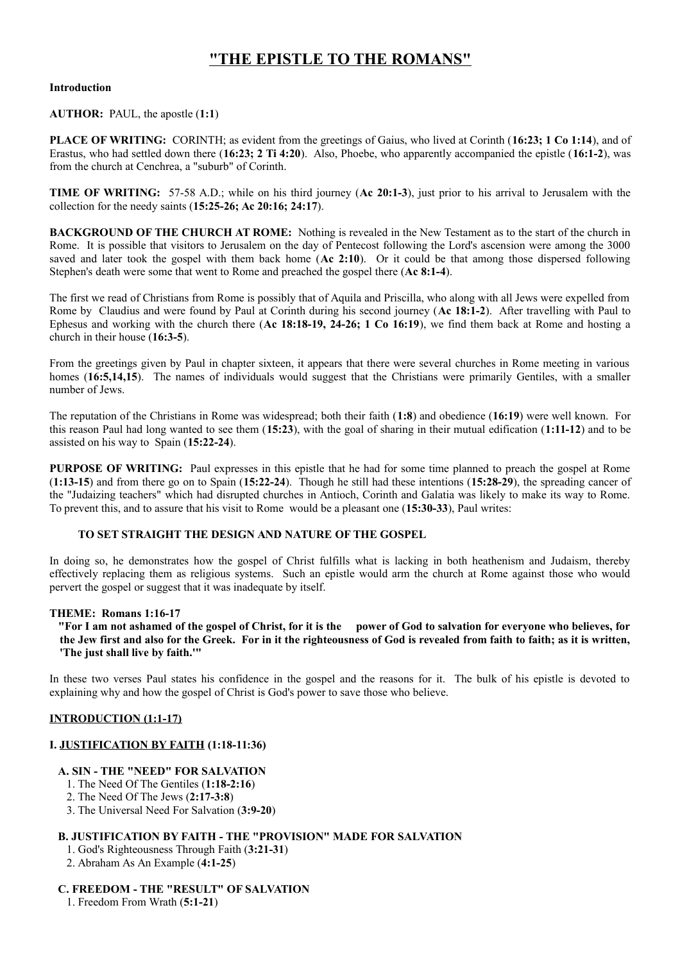# **"THE EPISTLE TO THE ROMANS"**

#### **Introduction**

#### **AUTHOR:** PAUL, the apostle (**1:1**)

**PLACE OF WRITING:** CORINTH; as evident from the greetings of Gaius, who lived at Corinth (**16:23; 1 Co 1:14**), and of Erastus, who had settled down there (**16:23; 2 Ti 4:20**). Also, Phoebe, who apparently accompanied the epistle (**16:1-2**), was from the church at Cenchrea, a "suburb" of Corinth.

**TIME OF WRITING:** 57-58 A.D.; while on his third journey (**Ac 20:1-3**), just prior to his arrival to Jerusalem with the collection for the needy saints (**15:25-26; Ac 20:16; 24:17**).

**BACKGROUND OF THE CHURCH AT ROME:** Nothing is revealed in the New Testament as to the start of the church in Rome. It is possible that visitors to Jerusalem on the day of Pentecost following the Lord's ascension were among the 3000 saved and later took the gospel with them back home (**Ac 2:10**). Or it could be that among those dispersed following Stephen's death were some that went to Rome and preached the gospel there (**Ac 8:1-4**).

The first we read of Christians from Rome is possibly that of Aquila and Priscilla, who along with all Jews were expelled from Rome by Claudius and were found by Paul at Corinth during his second journey (**Ac 18:1-2**). After travelling with Paul to Ephesus and working with the church there (**Ac 18:18-19, 24-26; 1 Co 16:19**), we find them back at Rome and hosting a church in their house (**16:3-5**).

From the greetings given by Paul in chapter sixteen, it appears that there were several churches in Rome meeting in various homes (**16:5,14,15**). The names of individuals would suggest that the Christians were primarily Gentiles, with a smaller number of Jews.

The reputation of the Christians in Rome was widespread; both their faith (**1:8**) and obedience (**16:19**) were well known. For this reason Paul had long wanted to see them (**15:23**), with the goal of sharing in their mutual edification (**1:11-12**) and to be assisted on his way to Spain (**15:22-24**).

**PURPOSE OF WRITING:** Paul expresses in this epistle that he had for some time planned to preach the gospel at Rome (**1:13-15**) and from there go on to Spain (**15:22-24**). Though he still had these intentions (**15:28-29**), the spreading cancer of the "Judaizing teachers" which had disrupted churches in Antioch, Corinth and Galatia was likely to make its way to Rome. To prevent this, and to assure that his visit to Rome would be a pleasant one (**15:30-33**), Paul writes:

### **TO SET STRAIGHT THE DESIGN AND NATURE OF THE GOSPEL**

In doing so, he demonstrates how the gospel of Christ fulfills what is lacking in both heathenism and Judaism, thereby effectively replacing them as religious systems. Such an epistle would arm the church at Rome against those who would pervert the gospel or suggest that it was inadequate by itself.

#### **THEME: Romans 1:16-17**

 **"For I am not ashamed of the gospel of Christ, for it is the power of God to salvation for everyone who believes, for the Jew first and also for the Greek. For in it the righteousness of God is revealed from faith to faith; as it is written, 'The just shall live by faith.'"**

In these two verses Paul states his confidence in the gospel and the reasons for it. The bulk of his epistle is devoted to explaining why and how the gospel of Christ is God's power to save those who believe.

## **INTRODUCTION (1:1-17)**

## **I. JUSTIFICATION BY FAITH (1:18-11:36)**

#### **A. SIN - THE "NEED" FOR SALVATION**

- 1. The Need Of The Gentiles (**1:18-2:16**)
- 2. The Need Of The Jews (**2:17-3:8**)
- 3. The Universal Need For Salvation (**3:9-20**)

### **B. JUSTIFICATION BY FAITH - THE "PROVISION" MADE FOR SALVATION**

- 1. God's Righteousness Through Faith (**3:21-31**)
- 2. Abraham As An Example (**4:1-25**)

#### **C. FREEDOM - THE "RESULT" OF SALVATION**

1. Freedom From Wrath (**5:1-21**)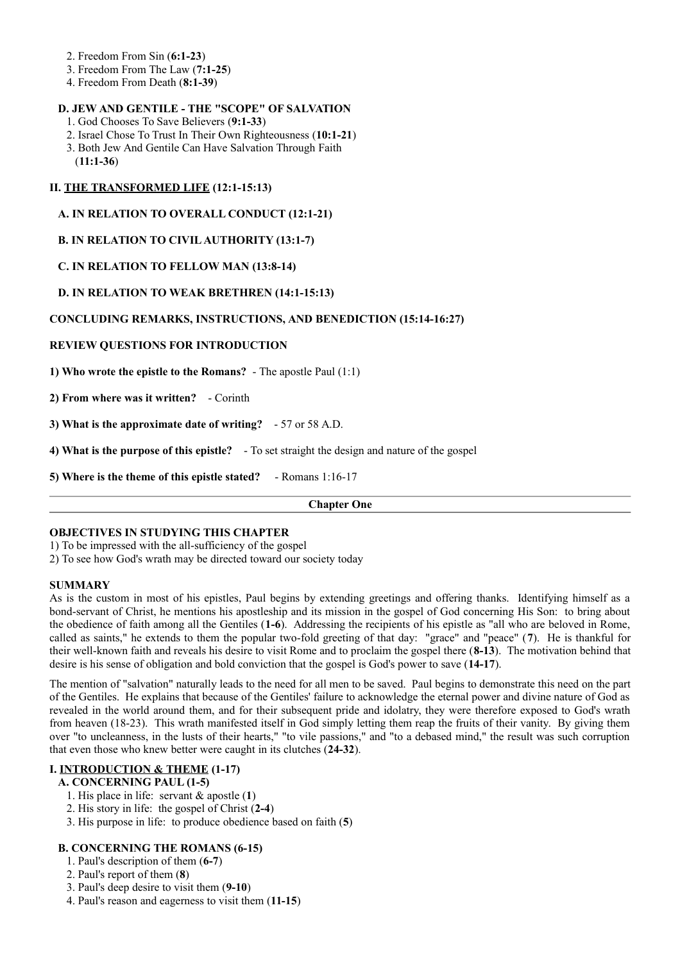- 2. Freedom From Sin (**6:1-23**)
- 3. Freedom From The Law (**7:1-25**)
- 4. Freedom From Death (**8:1-39**)

## **D. JEW AND GENTILE - THE "SCOPE" OF SALVATION**

- 1. God Chooses To Save Believers (**9:1-33**)
- 2. Israel Chose To Trust In Their Own Righteousness (**10:1-21**)
- 3. Both Jew And Gentile Can Have Salvation Through Faith
- (**11:1-36**)

## **II. THE TRANSFORMED LIFE (12:1-15:13)**

## **A. IN RELATION TO OVERALL CONDUCT (12:1-21)**

## **B. IN RELATION TO CIVIL AUTHORITY (13:1-7)**

## **C. IN RELATION TO FELLOW MAN (13:8-14)**

## **D. IN RELATION TO WEAK BRETHREN (14:1-15:13)**

## **CONCLUDING REMARKS, INSTRUCTIONS, AND BENEDICTION (15:14-16:27)**

## **REVIEW QUESTIONS FOR INTRODUCTION**

**1) Who wrote the epistle to the Romans?** - The apostle Paul (1:1)

**2) From where was it written?** - Corinth

**3) What is the approximate date of writing?** - 57 or 58 A.D.

**4) What is the purpose of this epistle?** - To set straight the design and nature of the gospel

**5) Where is the theme of this epistle stated?** - Romans 1:16-17

#### **Chapter One**

#### **OBJECTIVES IN STUDYING THIS CHAPTER**

1) To be impressed with the all-sufficiency of the gospel

2) To see how God's wrath may be directed toward our society today

#### **SUMMARY**

As is the custom in most of his epistles, Paul begins by extending greetings and offering thanks. Identifying himself as a bond-servant of Christ, he mentions his apostleship and its mission in the gospel of God concerning His Son: to bring about the obedience of faith among all the Gentiles (**1-6**). Addressing the recipients of his epistle as "all who are beloved in Rome, called as saints," he extends to them the popular two-fold greeting of that day: "grace" and "peace" (**7**). He is thankful for their well-known faith and reveals his desire to visit Rome and to proclaim the gospel there (**8-13**). The motivation behind that desire is his sense of obligation and bold conviction that the gospel is God's power to save (**14-17**).

The mention of "salvation" naturally leads to the need for all men to be saved. Paul begins to demonstrate this need on the part of the Gentiles. He explains that because of the Gentiles' failure to acknowledge the eternal power and divine nature of God as revealed in the world around them, and for their subsequent pride and idolatry, they were therefore exposed to God's wrath from heaven (18-23). This wrath manifested itself in God simply letting them reap the fruits of their vanity. By giving them over "to uncleanness, in the lusts of their hearts," "to vile passions," and "to a debased mind," the result was such corruption that even those who knew better were caught in its clutches (**24-32**).

### **I. INTRODUCTION & THEME (1-17)**

#### **A. CONCERNING PAUL (1-5)**

- 1. His place in life: servant & apostle (**1**)
- 2. His story in life: the gospel of Christ (**2-4**)
- 3. His purpose in life: to produce obedience based on faith (**5**)

#### **B. CONCERNING THE ROMANS (6-15)**

- 1. Paul's description of them (**6-7**)
- 2. Paul's report of them (**8**)
- 3. Paul's deep desire to visit them (**9-10**)
- 4. Paul's reason and eagerness to visit them (**11-15**)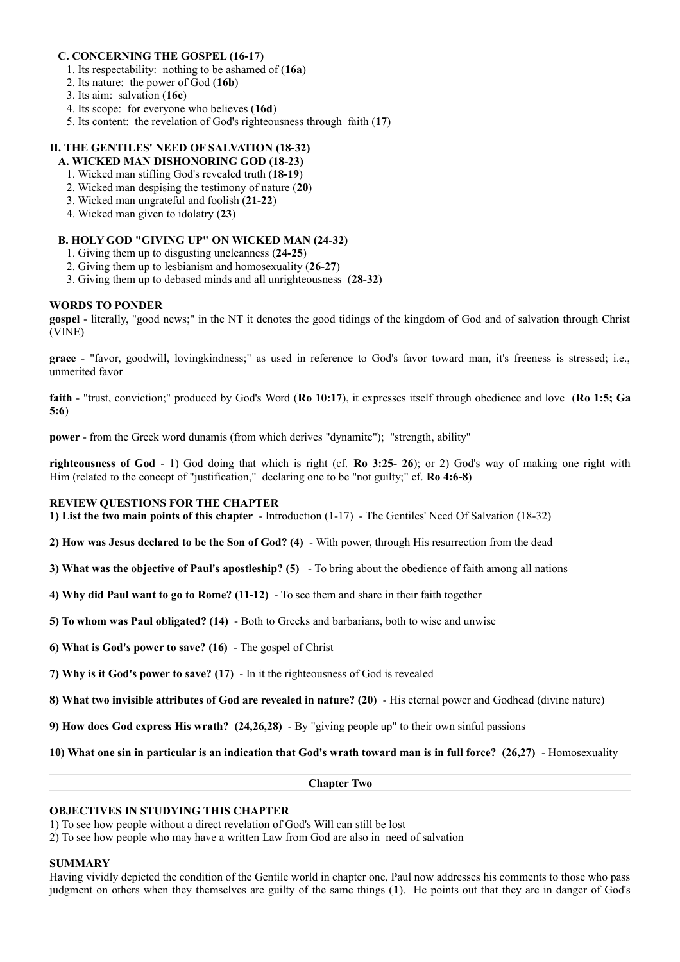### **C. CONCERNING THE GOSPEL (16-17)**

- 1. Its respectability: nothing to be ashamed of (**16a**)
- 2. Its nature: the power of God (**16b**)
- 3. Its aim: salvation (**16c**)
- 4. Its scope: for everyone who believes (**16d**)
- 5. Its content: the revelation of God's righteousness through faith (**17**)

## **II. THE GENTILES' NEED OF SALVATION (18-32)**

## **A. WICKED MAN DISHONORING GOD (18-23)**

- 1. Wicked man stifling God's revealed truth (**18-19**)
- 2. Wicked man despising the testimony of nature (**20**)
- 3. Wicked man ungrateful and foolish (**21-22**)
- 4. Wicked man given to idolatry (**23**)

## **B. HOLY GOD "GIVING UP" ON WICKED MAN (24-32)**

- 1. Giving them up to disgusting uncleanness (**24-25**)
- 2. Giving them up to lesbianism and homosexuality (**26-27**)
- 3. Giving them up to debased minds and all unrighteousness (**28-32**)

## **WORDS TO PONDER**

**gospel** - literally, "good news;" in the NT it denotes the good tidings of the kingdom of God and of salvation through Christ (VINE)

**grace** - "favor, goodwill, lovingkindness;" as used in reference to God's favor toward man, it's freeness is stressed; i.e., unmerited favor

**faith** - "trust, conviction;" produced by God's Word (**Ro 10:17**), it expresses itself through obedience and love (**Ro 1:5; Ga 5:6**)

**power** - from the Greek word dunamis (from which derives "dynamite"); "strength, ability"

**righteousness of God** - 1) God doing that which is right (cf. **Ro 3:25- 26**); or 2) God's way of making one right with Him (related to the concept of "justification," declaring one to be "not guilty;" cf. **Ro 4:6-8**)

## **REVIEW QUESTIONS FOR THE CHAPTER**

**1) List the two main points of this chapter** - Introduction (1-17) - The Gentiles' Need Of Salvation (18-32)

**2) How was Jesus declared to be the Son of God? (4)** - With power, through His resurrection from the dead

**3) What was the objective of Paul's apostleship? (5)** - To bring about the obedience of faith among all nations

**4) Why did Paul want to go to Rome? (11-12)** - To see them and share in their faith together

**5) To whom was Paul obligated? (14)** - Both to Greeks and barbarians, both to wise and unwise

**6) What is God's power to save? (16)** - The gospel of Christ

**7) Why is it God's power to save? (17)** - In it the righteousness of God is revealed

**8) What two invisible attributes of God are revealed in nature? (20)** - His eternal power and Godhead (divine nature)

**9) How does God express His wrath? (24,26,28)** - By "giving people up" to their own sinful passions

**10) What one sin in particular is an indication that God's wrath toward man is in full force? (26,27)** - Homosexuality

**Chapter Two**

#### **OBJECTIVES IN STUDYING THIS CHAPTER**

1) To see how people without a direct revelation of God's Will can still be lost

2) To see how people who may have a written Law from God are also in need of salvation

#### **SUMMARY**

Having vividly depicted the condition of the Gentile world in chapter one, Paul now addresses his comments to those who pass judgment on others when they themselves are guilty of the same things (**1**). He points out that they are in danger of God's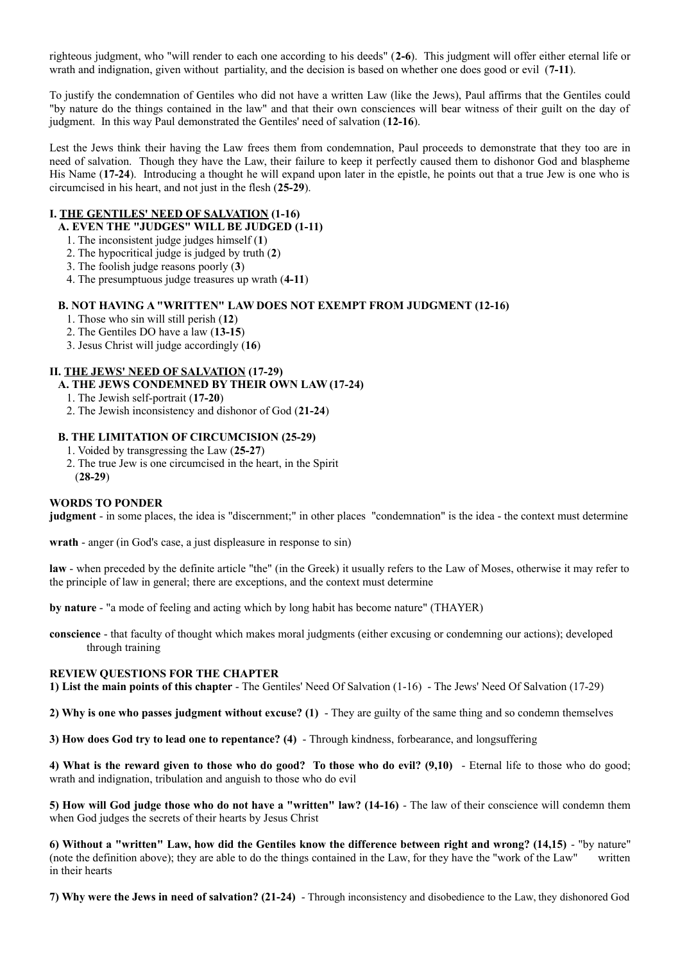righteous judgment, who "will render to each one according to his deeds" (**2-6**). This judgment will offer either eternal life or wrath and indignation, given without partiality, and the decision is based on whether one does good or evil (**7-11**).

To justify the condemnation of Gentiles who did not have a written Law (like the Jews), Paul affirms that the Gentiles could "by nature do the things contained in the law" and that their own consciences will bear witness of their guilt on the day of judgment. In this way Paul demonstrated the Gentiles' need of salvation (**12-16**).

Lest the Jews think their having the Law frees them from condemnation, Paul proceeds to demonstrate that they too are in need of salvation. Though they have the Law, their failure to keep it perfectly caused them to dishonor God and blaspheme His Name (**17-24**). Introducing a thought he will expand upon later in the epistle, he points out that a true Jew is one who is circumcised in his heart, and not just in the flesh (**25-29**).

### **I. THE GENTILES' NEED OF SALVATION (1-16)**

## **A. EVEN THE "JUDGES" WILL BE JUDGED (1-11)**

- 1. The inconsistent judge judges himself (**1**)
- 2. The hypocritical judge is judged by truth (**2**)
- 3. The foolish judge reasons poorly (**3**)
- 4. The presumptuous judge treasures up wrath (**4-11**)

#### **B. NOT HAVING A "WRITTEN" LAW DOES NOT EXEMPT FROM JUDGMENT (12-16)**

- 1. Those who sin will still perish (**12**)
- 2. The Gentiles DO have a law (**13-15**)
- 3. Jesus Christ will judge accordingly (**16**)

## **II. THE JEWS' NEED OF SALVATION (17-29)**

## **A. THE JEWS CONDEMNED BY THEIR OWN LAW (17-24)**

- 1. The Jewish self-portrait (**17-20**)
- 2. The Jewish inconsistency and dishonor of God (**21-24**)

## **B. THE LIMITATION OF CIRCUMCISION (25-29)**

- 1. Voided by transgressing the Law (**25-27**)
- 2. The true Jew is one circumcised in the heart, in the Spirit (**28-29**)

#### **WORDS TO PONDER**

**judgment** - in some places, the idea is "discernment;" in other places "condemnation" is the idea - the context must determine

**wrath** - anger (in God's case, a just displeasure in response to sin)

**law** - when preceded by the definite article "the" (in the Greek) it usually refers to the Law of Moses, otherwise it may refer to the principle of law in general; there are exceptions, and the context must determine

**by nature** - "a mode of feeling and acting which by long habit has become nature" (THAYER)

**conscience** - that faculty of thought which makes moral judgments (either excusing or condemning our actions); developed through training

#### **REVIEW QUESTIONS FOR THE CHAPTER**

**1) List the main points of this chapter** - The Gentiles' Need Of Salvation (1-16) - The Jews' Need Of Salvation (17-29)

**2) Why is one who passes judgment without excuse? (1)** - They are guilty of the same thing and so condemn themselves

**3) How does God try to lead one to repentance? (4)** - Through kindness, forbearance, and longsuffering

**4) What is the reward given to those who do good? To those who do evil? (9,10)** - Eternal life to those who do good; wrath and indignation, tribulation and anguish to those who do evil

**5) How will God judge those who do not have a "written" law? (14-16)** - The law of their conscience will condemn them when God judges the secrets of their hearts by Jesus Christ

**6) Without a "written" Law, how did the Gentiles know the difference between right and wrong? (14,15) - "by nature"** (note the definition above); they are able to do the things contained in the Law, for they have the "work of the Law" written in their hearts

**7) Why were the Jews in need of salvation? (21-24)** - Through inconsistency and disobedience to the Law, they dishonored God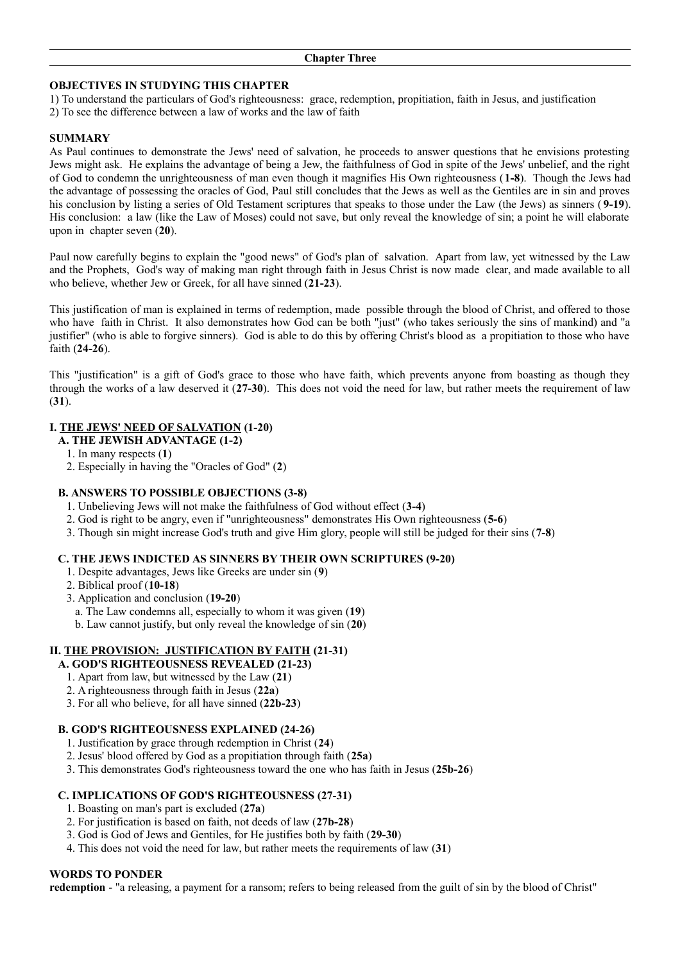#### **OBJECTIVES IN STUDYING THIS CHAPTER**

1) To understand the particulars of God's righteousness: grace, redemption, propitiation, faith in Jesus, and justification

2) To see the difference between a law of works and the law of faith

#### **SUMMARY**

As Paul continues to demonstrate the Jews' need of salvation, he proceeds to answer questions that he envisions protesting Jews might ask. He explains the advantage of being a Jew, the faithfulness of God in spite of the Jews' unbelief, and the right of God to condemn the unrighteousness of man even though it magnifies His Own righteousness (**1-8**). Though the Jews had the advantage of possessing the oracles of God, Paul still concludes that the Jews as well as the Gentiles are in sin and proves his conclusion by listing a series of Old Testament scriptures that speaks to those under the Law (the Jews) as sinners ( **9-19**). His conclusion: a law (like the Law of Moses) could not save, but only reveal the knowledge of sin; a point he will elaborate upon in chapter seven (**20**).

Paul now carefully begins to explain the "good news" of God's plan of salvation. Apart from law, yet witnessed by the Law and the Prophets, God's way of making man right through faith in Jesus Christ is now made clear, and made available to all who believe, whether Jew or Greek, for all have sinned (**21-23**).

This justification of man is explained in terms of redemption, made possible through the blood of Christ, and offered to those who have faith in Christ. It also demonstrates how God can be both "just" (who takes seriously the sins of mankind) and "a justifier" (who is able to forgive sinners). God is able to do this by offering Christ's blood as a propitiation to those who have faith (**24-26**).

This "justification" is a gift of God's grace to those who have faith, which prevents anyone from boasting as though they through the works of a law deserved it (**27-30**). This does not void the need for law, but rather meets the requirement of law (**31**).

#### **I. THE JEWS' NEED OF SALVATION (1-20)**

- **A. THE JEWISH ADVANTAGE (1-2)**
	- 1. In many respects (**1**)
	- 2. Especially in having the "Oracles of God" (**2**)

#### **B. ANSWERS TO POSSIBLE OBJECTIONS (3-8)**

- 1. Unbelieving Jews will not make the faithfulness of God without effect (**3-4**)
- 2. God is right to be angry, even if "unrighteousness" demonstrates His Own righteousness (**5-6**)
- 3. Though sin might increase God's truth and give Him glory, people will still be judged for their sins (**7-8**)

#### **C. THE JEWS INDICTED AS SINNERS BY THEIR OWN SCRIPTURES (9-20)**

- 1. Despite advantages, Jews like Greeks are under sin (**9**)
- 2. Biblical proof (**10-18**)
- 3. Application and conclusion (**19-20**)
	- a. The Law condemns all, especially to whom it was given (**19**)
	- b. Law cannot justify, but only reveal the knowledge of sin (**20**)

#### **II. THE PROVISION: JUSTIFICATION BY FAITH (21-31)**

- **A. GOD'S RIGHTEOUSNESS REVEALED (21-23)**
- 1. Apart from law, but witnessed by the Law (**21**)
- 2. A righteousness through faith in Jesus (**22a**)
- 3. For all who believe, for all have sinned (**22b-23**)

#### **B. GOD'S RIGHTEOUSNESS EXPLAINED (24-26)**

- 1. Justification by grace through redemption in Christ (**24**)
- 2. Jesus' blood offered by God as a propitiation through faith (**25a**)
- 3. This demonstrates God's righteousness toward the one who has faith in Jesus (**25b-26**)

#### **C. IMPLICATIONS OF GOD'S RIGHTEOUSNESS (27-31)**

- 1. Boasting on man's part is excluded (**27a**)
- 2. For justification is based on faith, not deeds of law (**27b-28**)
- 3. God is God of Jews and Gentiles, for He justifies both by faith (**29-30**)
- 4. This does not void the need for law, but rather meets the requirements of law (**31**)

#### **WORDS TO PONDER**

**redemption** - "a releasing, a payment for a ransom; refers to being released from the guilt of sin by the blood of Christ"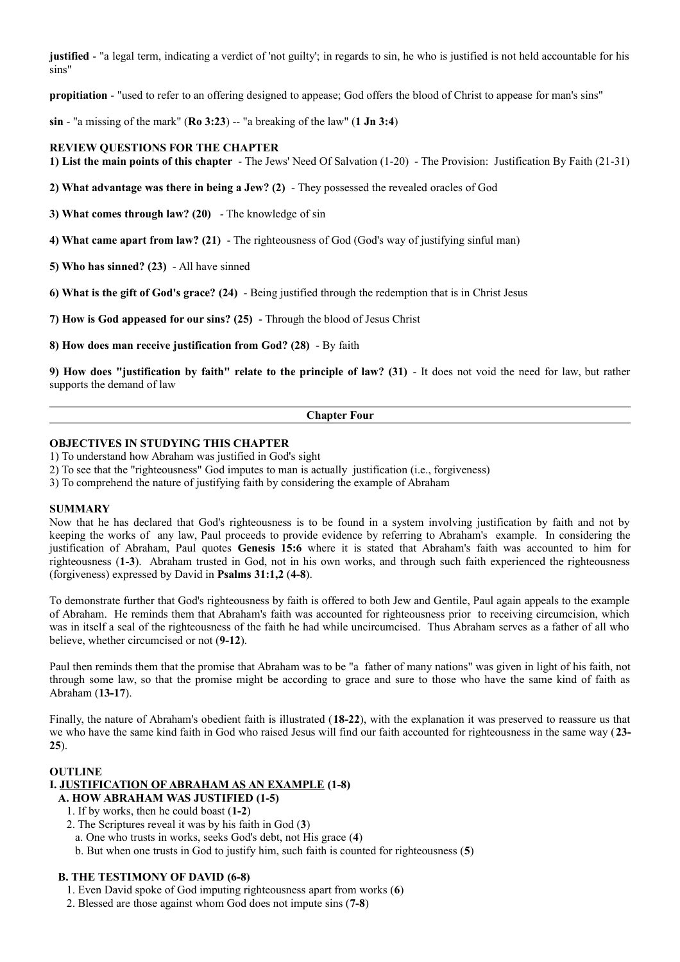**justified** - "a legal term, indicating a verdict of 'not guilty'; in regards to sin, he who is justified is not held accountable for his sins"

**propitiation** - "used to refer to an offering designed to appease; God offers the blood of Christ to appease for man's sins"

 $\sin$  - "a missing of the mark" ( $\text{Ro } 3:23$ ) -- "a breaking of the law" (1 Jn 3:4)

#### **REVIEW QUESTIONS FOR THE CHAPTER**

**1) List the main points of this chapter** - The Jews' Need Of Salvation (1-20) - The Provision: Justification By Faith (21-31)

**2) What advantage was there in being a Jew? (2)** - They possessed the revealed oracles of God

**3) What comes through law? (20)** - The knowledge of sin

**4) What came apart from law? (21)** - The righteousness of God (God's way of justifying sinful man)

**5) Who has sinned? (23)** - All have sinned

**6) What is the gift of God's grace? (24)** - Being justified through the redemption that is in Christ Jesus

**7) How is God appeased for our sins? (25)** - Through the blood of Jesus Christ

**8) How does man receive justification from God? (28)** - By faith

**9) How does "justification by faith" relate to the principle of law? (31)** - It does not void the need for law, but rather supports the demand of law

#### **Chapter Four**

#### **OBJECTIVES IN STUDYING THIS CHAPTER**

1) To understand how Abraham was justified in God's sight

2) To see that the "righteousness" God imputes to man is actually justification (i.e., forgiveness)

3) To comprehend the nature of justifying faith by considering the example of Abraham

#### **SUMMARY**

Now that he has declared that God's righteousness is to be found in a system involving justification by faith and not by keeping the works of any law, Paul proceeds to provide evidence by referring to Abraham's example. In considering the justification of Abraham, Paul quotes **Genesis 15:6** where it is stated that Abraham's faith was accounted to him for righteousness (**1-3**). Abraham trusted in God, not in his own works, and through such faith experienced the righteousness (forgiveness) expressed by David in **Psalms 31:1,2** (**4-8**).

To demonstrate further that God's righteousness by faith is offered to both Jew and Gentile, Paul again appeals to the example of Abraham. He reminds them that Abraham's faith was accounted for righteousness prior to receiving circumcision, which was in itself a seal of the righteousness of the faith he had while uncircumcised. Thus Abraham serves as a father of all who believe, whether circumcised or not (**9-12**).

Paul then reminds them that the promise that Abraham was to be "a father of many nations" was given in light of his faith, not through some law, so that the promise might be according to grace and sure to those who have the same kind of faith as Abraham (**13-17**).

Finally, the nature of Abraham's obedient faith is illustrated (**18-22**), with the explanation it was preserved to reassure us that we who have the same kind faith in God who raised Jesus will find our faith accounted for righteousness in the same way (**23- 25**).

#### **OUTLINE**

#### **I. JUSTIFICATION OF ABRAHAM AS AN EXAMPLE (1-8)**

- **A. HOW ABRAHAM WAS JUSTIFIED (1-5)**
	- 1. If by works, then he could boast (**1-2**)
	- 2. The Scriptures reveal it was by his faith in God (**3**)
	- a. One who trusts in works, seeks God's debt, not His grace (**4**)
	- b. But when one trusts in God to justify him, such faith is counted for righteousness (**5**)

#### **B. THE TESTIMONY OF DAVID (6-8)**

- 1. Even David spoke of God imputing righteousness apart from works (**6**)
- 2. Blessed are those against whom God does not impute sins (**7-8**)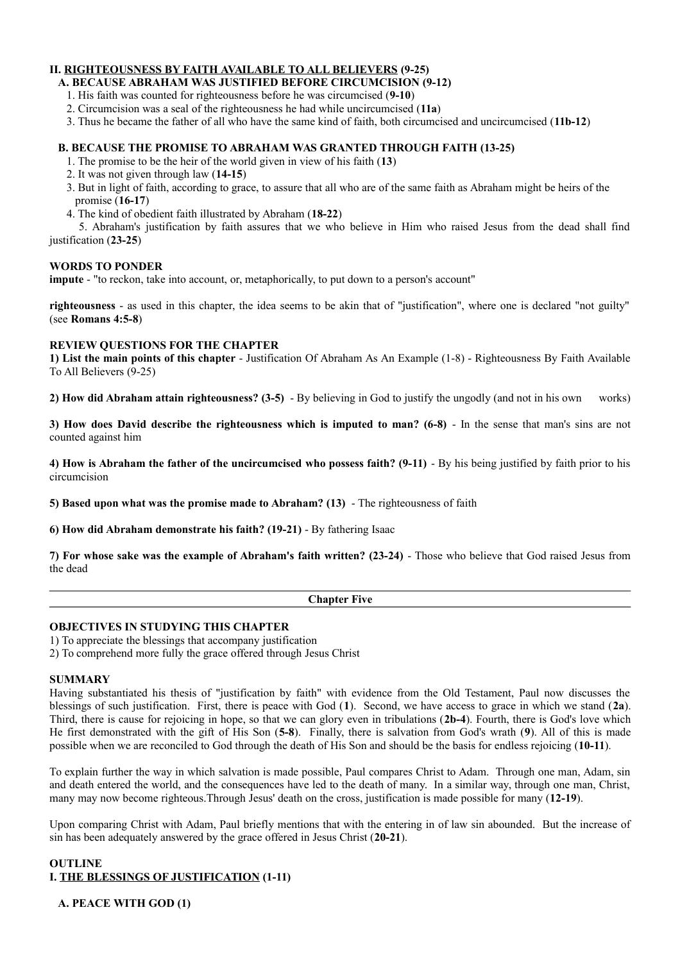## **II. RIGHTEOUSNESS BY FAITH AVAILABLE TO ALL BELIEVERS (9-25)**

## **A. BECAUSE ABRAHAM WAS JUSTIFIED BEFORE CIRCUMCISION (9-12)**

- 1. His faith was counted for righteousness before he was circumcised (**9-10**)
- 2. Circumcision was a seal of the righteousness he had while uncircumcised (**11a**)
- 3. Thus he became the father of all who have the same kind of faith, both circumcised and uncircumcised (**11b-12**)

## **B. BECAUSE THE PROMISE TO ABRAHAM WAS GRANTED THROUGH FAITH (13-25)**

- 1. The promise to be the heir of the world given in view of his faith (**13**)
- 2. It was not given through law (**14-15**)
- 3. But in light of faith, according to grace, to assure that all who are of the same faith as Abraham might be heirs of the promise (**16-17**)
- 4. The kind of obedient faith illustrated by Abraham (**18-22**)

 5. Abraham's justification by faith assures that we who believe in Him who raised Jesus from the dead shall find justification (**23-25**)

## **WORDS TO PONDER**

**impute** - "to reckon, take into account, or, metaphorically, to put down to a person's account"

**righteousness** - as used in this chapter, the idea seems to be akin that of "justification", where one is declared "not guilty" (see **Romans 4:5-8**)

## **REVIEW QUESTIONS FOR THE CHAPTER**

**1) List the main points of this chapter** - Justification Of Abraham As An Example (1-8) - Righteousness By Faith Available To All Believers (9-25)

**2) How did Abraham attain righteousness? (3-5)** - By believing in God to justify the ungodly (and not in his own works)

**3) How does David describe the righteousness which is imputed to man? (6-8)** - In the sense that man's sins are not counted against him

**4) How is Abraham the father of the uncircumcised who possess faith? (9-11)** - By his being justified by faith prior to his circumcision

**5) Based upon what was the promise made to Abraham? (13)** - The righteousness of faith

**6) How did Abraham demonstrate his faith? (19-21)** - By fathering Isaac

**7) For whose sake was the example of Abraham's faith written? (23-24)** - Those who believe that God raised Jesus from the dead

#### **Chapter Five**

#### **OBJECTIVES IN STUDYING THIS CHAPTER**

1) To appreciate the blessings that accompany justification

2) To comprehend more fully the grace offered through Jesus Christ

#### **SUMMARY**

Having substantiated his thesis of "justification by faith" with evidence from the Old Testament, Paul now discusses the blessings of such justification. First, there is peace with God (**1**). Second, we have access to grace in which we stand (**2a**). Third, there is cause for rejoicing in hope, so that we can glory even in tribulations (**2b-4**). Fourth, there is God's love which He first demonstrated with the gift of His Son (**5-8**). Finally, there is salvation from God's wrath (**9**). All of this is made possible when we are reconciled to God through the death of His Son and should be the basis for endless rejoicing (**10-11**).

To explain further the way in which salvation is made possible, Paul compares Christ to Adam. Through one man, Adam, sin and death entered the world, and the consequences have led to the death of many. In a similar way, through one man, Christ, many may now become righteous.Through Jesus' death on the cross, justification is made possible for many (**12-19**).

Upon comparing Christ with Adam, Paul briefly mentions that with the entering in of law sin abounded. But the increase of sin has been adequately answered by the grace offered in Jesus Christ (**20-21**).

## **OUTLINE I. THE BLESSINGS OF JUSTIFICATION (1-11)**

**A. PEACE WITH GOD (1)**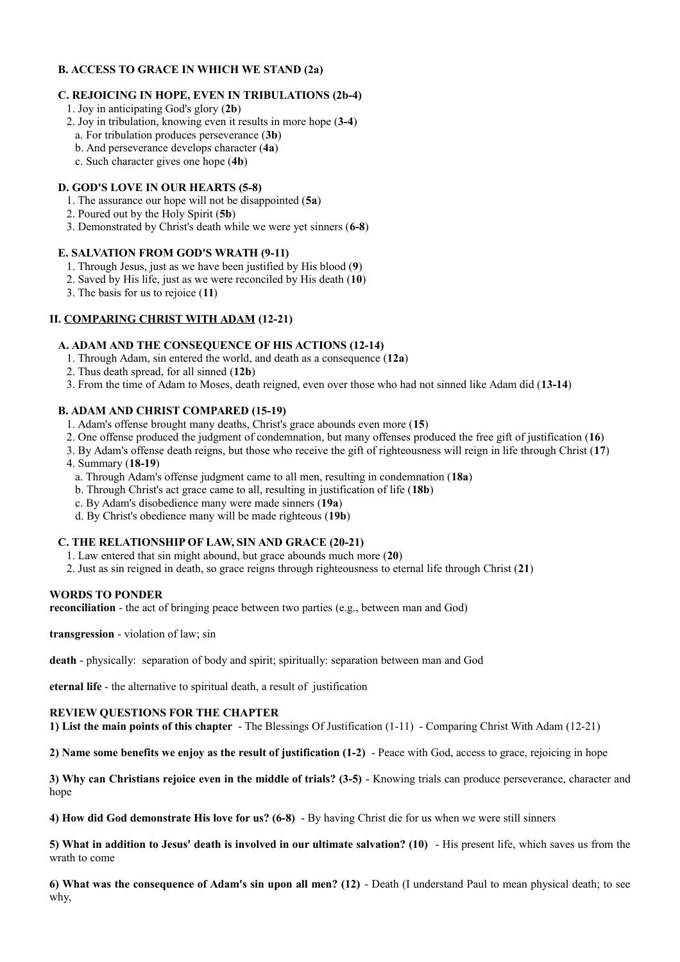## **B. ACCESS TO GRACE IN WHICH WE STAND (2a)**

## **C. REJOICING IN HOPE, EVEN IN TRIBULATIONS (2b-4)**

- 1. Joy in anticipating God's glory (**2b**)
- 2. Joy in tribulation, knowing even it results in more hope (**3-4**)
- a. For tribulation produces perseverance (**3b**)
- b. And perseverance develops character (**4a**)
- c. Such character gives one hope (**4b**)

## **D. GOD'S LOVE IN OUR HEARTS (5-8)**

- 1. The assurance our hope will not be disappointed (**5a**)
- 2. Poured out by the Holy Spirit (**5b**)
- 3. Demonstrated by Christ's death while we were yet sinners (**6-8**)

## **E. SALVATION FROM GOD'S WRATH (9-11)**

- 1. Through Jesus, just as we have been justified by His blood (**9**)
- 2. Saved by His life, just as we were reconciled by His death (**10**)
- 3. The basis for us to rejoice (**11**)

## **II. COMPARING CHRIST WITH ADAM (12-21)**

## **A. ADAM AND THE CONSEQUENCE OF HIS ACTIONS (12-14)**

- 1. Through Adam, sin entered the world, and death as a consequence (**12a**)
- 2. Thus death spread, for all sinned (**12b**)
- 3. From the time of Adam to Moses, death reigned, even over those who had not sinned like Adam did (**13-14**)

## **B. ADAM AND CHRIST COMPARED (15-19)**

- 1. Adam's offense brought many deaths, Christ's grace abounds even more (**15**)
- 2. One offense produced the judgment of condemnation, but many offenses produced the free gift of justification (**16**)
- 3. By Adam's offense death reigns, but those who receive the gift of righteousness will reign in life through Christ (**17**)
- 4. Summary (**18-19**)
	- a. Through Adam's offense judgment came to all men, resulting in condemnation (**18a**)
	- b. Through Christ's act grace came to all, resulting in justification of life (**18b**)
	- c. By Adam's disobedience many were made sinners (**19a**)
	- d. By Christ's obedience many will be made righteous (**19b**)

## **C. THE RELATIONSHIP OF LAW, SIN AND GRACE (20-21)**

- 1. Law entered that sin might abound, but grace abounds much more (**20**)
- 2. Just as sin reigned in death, so grace reigns through righteousness to eternal life through Christ (**21**)

#### **WORDS TO PONDER**

**reconciliation** - the act of bringing peace between two parties (e.g., between man and God)

**transgression** - violation of law; sin

**death** - physically: separation of body and spirit; spiritually: separation between man and God

**eternal life** - the alternative to spiritual death, a result of justification

### **REVIEW QUESTIONS FOR THE CHAPTER**

**1) List the main points of this chapter** - The Blessings Of Justification (1-11) - Comparing Christ With Adam (12-21)

**2) Name some benefits we enjoy as the result of justification (1-2)** - Peace with God, access to grace, rejoicing in hope

**3) Why can Christians rejoice even in the middle of trials? (3-5)** - Knowing trials can produce perseverance, character and hope

**4) How did God demonstrate His love for us? (6-8)** - By having Christ die for us when we were still sinners

**5) What in addition to Jesus' death is involved in our ultimate salvation? (10)** - His present life, which saves us from the wrath to come

**6) What was the consequence of Adam's sin upon all men? (12)** - Death (I understand Paul to mean physical death; to see why,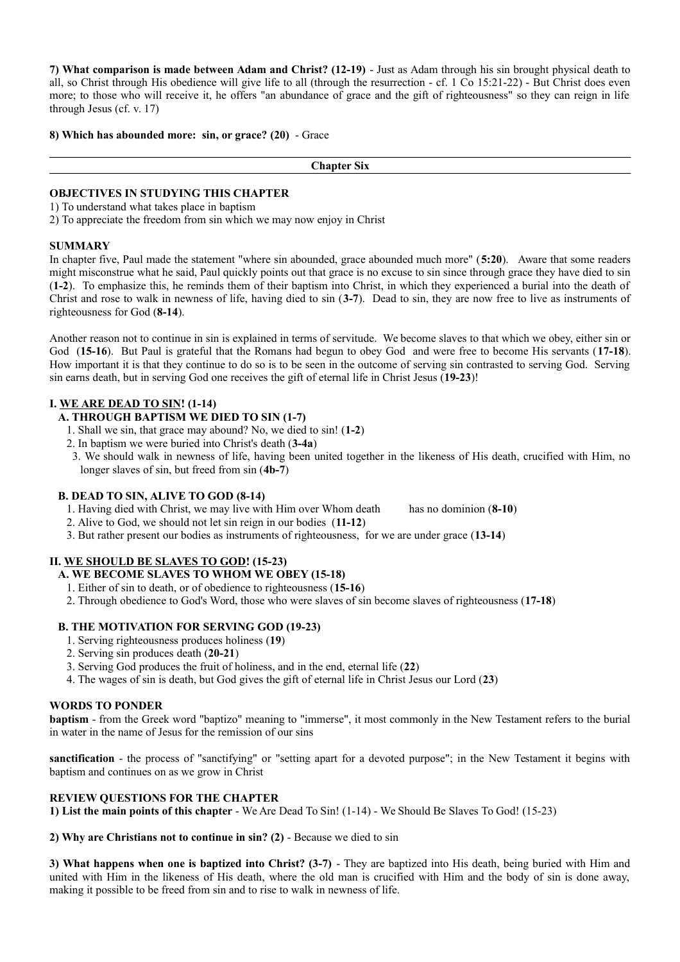**7) What comparison is made between Adam and Christ? (12-19)** - Just as Adam through his sin brought physical death to all, so Christ through His obedience will give life to all (through the resurrection - cf. 1 Co 15:21-22) - But Christ does even more; to those who will receive it, he offers "an abundance of grace and the gift of righteousness" so they can reign in life through Jesus (cf. v. 17)

**8) Which has abounded more: sin, or grace? (20)** - Grace

**Chapter Six**

### **OBJECTIVES IN STUDYING THIS CHAPTER**

1) To understand what takes place in baptism

2) To appreciate the freedom from sin which we may now enjoy in Christ

#### **SUMMARY**

In chapter five, Paul made the statement "where sin abounded, grace abounded much more" (**5:20**). Aware that some readers might misconstrue what he said, Paul quickly points out that grace is no excuse to sin since through grace they have died to sin (**1-2**). To emphasize this, he reminds them of their baptism into Christ, in which they experienced a burial into the death of Christ and rose to walk in newness of life, having died to sin (**3-7**). Dead to sin, they are now free to live as instruments of righteousness for God (**8-14**).

Another reason not to continue in sin is explained in terms of servitude. We become slaves to that which we obey, either sin or God (**15-16**). But Paul is grateful that the Romans had begun to obey God and were free to become His servants (**17-18**). How important it is that they continue to do so is to be seen in the outcome of serving sin contrasted to serving God. Serving sin earns death, but in serving God one receives the gift of eternal life in Christ Jesus (**19-23**)!

## **I. WE ARE DEAD TO SIN! (1-14)**

- **A. THROUGH BAPTISM WE DIED TO SIN (1-7)**
	- 1. Shall we sin, that grace may abound? No, we died to sin! (**1-2**)
	- 2. In baptism we were buried into Christ's death (**3-4a**)
	- 3. We should walk in newness of life, having been united together in the likeness of His death, crucified with Him, no longer slaves of sin, but freed from sin (**4b-7**)

#### **B. DEAD TO SIN, ALIVE TO GOD (8-14)**

- 1. Having died with Christ, we may live with Him over Whom death has no dominion (**8-10**)
- 2. Alive to God, we should not let sin reign in our bodies (**11-12**)
- 3. But rather present our bodies as instruments of righteousness, for we are under grace (**13-14**)

## **II. WE SHOULD BE SLAVES TO GOD! (15-23)**

## **A. WE BECOME SLAVES TO WHOM WE OBEY (15-18)**

- 1. Either of sin to death, or of obedience to righteousness (**15-16**)
- 2. Through obedience to God's Word, those who were slaves of sin become slaves of righteousness (**17-18**)

#### **B. THE MOTIVATION FOR SERVING GOD (19-23)**

- 1. Serving righteousness produces holiness (**19**)
- 2. Serving sin produces death (**20-21**)
- 3. Serving God produces the fruit of holiness, and in the end, eternal life (**22**)
- 4. The wages of sin is death, but God gives the gift of eternal life in Christ Jesus our Lord (**23**)

#### **WORDS TO PONDER**

**baptism** - from the Greek word "baptizo" meaning to "immerse", it most commonly in the New Testament refers to the burial in water in the name of Jesus for the remission of our sins

**sanctification** - the process of "sanctifying" or "setting apart for a devoted purpose"; in the New Testament it begins with baptism and continues on as we grow in Christ

#### **REVIEW QUESTIONS FOR THE CHAPTER**

**1) List the main points of this chapter** - We Are Dead To Sin! (1-14) - We Should Be Slaves To God! (15-23)

**2) Why are Christians not to continue in sin? (2)** - Because we died to sin

**3) What happens when one is baptized into Christ? (3-7)** - They are baptized into His death, being buried with Him and united with Him in the likeness of His death, where the old man is crucified with Him and the body of sin is done away, making it possible to be freed from sin and to rise to walk in newness of life.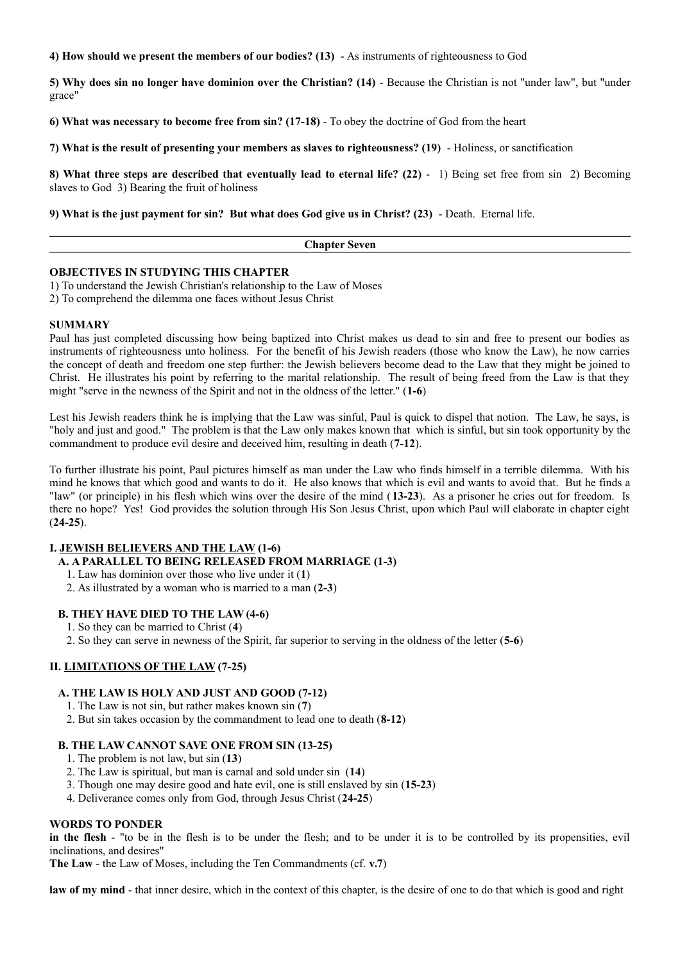**4) How should we present the members of our bodies? (13)** - As instruments of righteousness to God

**5) Why does sin no longer have dominion over the Christian? (14)** - Because the Christian is not "under law", but "under grace"

**6) What was necessary to become free from sin? (17-18)** - To obey the doctrine of God from the heart

**7) What is the result of presenting your members as slaves to righteousness? (19)** - Holiness, or sanctification

**8) What three steps are described that eventually lead to eternal life? (22)** - 1) Being set free from sin 2) Becoming slaves to God 3) Bearing the fruit of holiness

**9) What is the just payment for sin? But what does God give us in Christ? (23)** - Death. Eternal life.

| าน<br>$-$ |  |
|-----------|--|
|           |  |

#### **OBJECTIVES IN STUDYING THIS CHAPTER**

1) To understand the Jewish Christian's relationship to the Law of Moses

2) To comprehend the dilemma one faces without Jesus Christ

#### **SUMMARY**

Paul has just completed discussing how being baptized into Christ makes us dead to sin and free to present our bodies as instruments of righteousness unto holiness. For the benefit of his Jewish readers (those who know the Law), he now carries the concept of death and freedom one step further: the Jewish believers become dead to the Law that they might be joined to Christ. He illustrates his point by referring to the marital relationship. The result of being freed from the Law is that they might "serve in the newness of the Spirit and not in the oldness of the letter." (**1-6**)

Lest his Jewish readers think he is implying that the Law was sinful, Paul is quick to dispel that notion. The Law, he says, is "holy and just and good." The problem is that the Law only makes known that which is sinful, but sin took opportunity by the commandment to produce evil desire and deceived him, resulting in death (**7-12**).

To further illustrate his point, Paul pictures himself as man under the Law who finds himself in a terrible dilemma. With his mind he knows that which good and wants to do it. He also knows that which is evil and wants to avoid that. But he finds a "law" (or principle) in his flesh which wins over the desire of the mind (**13-23**). As a prisoner he cries out for freedom. Is there no hope? Yes! God provides the solution through His Son Jesus Christ, upon which Paul will elaborate in chapter eight (**24-25**).

#### **I. JEWISH BELIEVERS AND THE LAW (1-6)**

**A. A PARALLEL TO BEING RELEASED FROM MARRIAGE (1-3)**

- 1. Law has dominion over those who live under it (**1**)
- 2. As illustrated by a woman who is married to a man (**2-3**)

#### **B. THEY HAVE DIED TO THE LAW (4-6)**

- 1. So they can be married to Christ (**4**)
- 2. So they can serve in newness of the Spirit, far superior to serving in the oldness of the letter (**5-6**)

#### **II. LIMITATIONS OF THE LAW (7-25)**

#### **A. THE LAW IS HOLY AND JUST AND GOOD (7-12)**

- 1. The Law is not sin, but rather makes known sin (**7**)
- 2. But sin takes occasion by the commandment to lead one to death (**8-12**)

#### **B. THE LAW CANNOT SAVE ONE FROM SIN (13-25)**

- 1. The problem is not law, but sin (**13**)
- 2. The Law is spiritual, but man is carnal and sold under sin (**14**)
- 3. Though one may desire good and hate evil, one is still enslaved by sin (**15-23**)
- 4. Deliverance comes only from God, through Jesus Christ (**24-25**)

#### **WORDS TO PONDER**

**in the flesh** - "to be in the flesh is to be under the flesh; and to be under it is to be controlled by its propensities, evil inclinations, and desires"

**The Law** - the Law of Moses, including the Ten Commandments (cf. **v.7**)

law of my mind - that inner desire, which in the context of this chapter, is the desire of one to do that which is good and right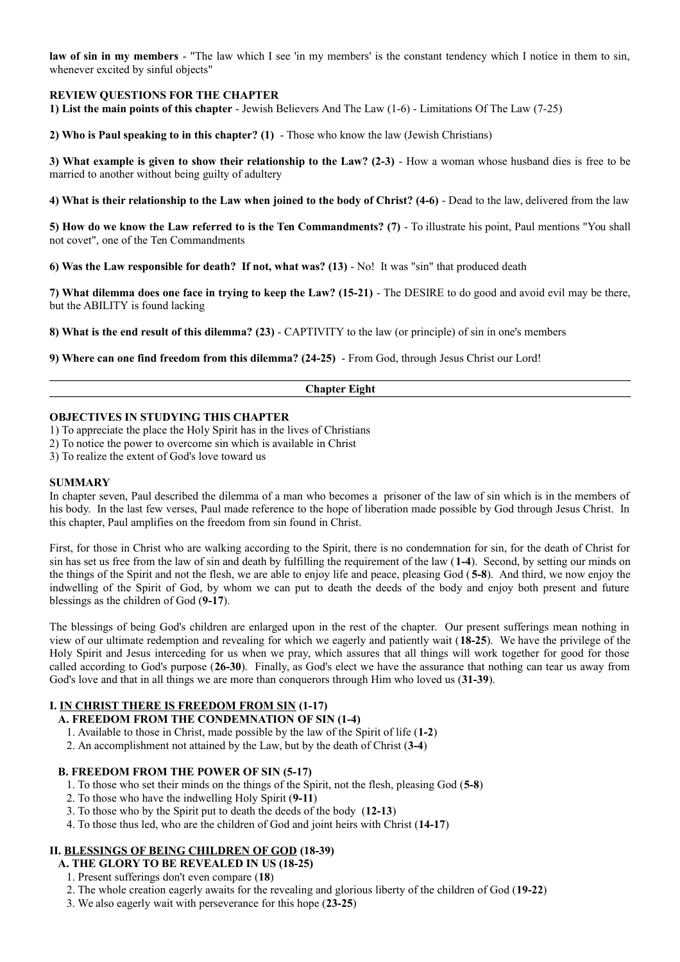**law of sin in my members** - "The law which I see 'in my members' is the constant tendency which I notice in them to sin, whenever excited by sinful objects"

## **REVIEW QUESTIONS FOR THE CHAPTER**

**1) List the main points of this chapter** - Jewish Believers And The Law (1-6) - Limitations Of The Law (7-25)

**2) Who is Paul speaking to in this chapter? (1)** - Those who know the law (Jewish Christians)

**3) What example is given to show their relationship to the Law? (2-3)** - How a woman whose husband dies is free to be married to another without being guilty of adultery

**4) What is their relationship to the Law when joined to the body of Christ? (4-6)** - Dead to the law, delivered from the law

**5) How do we know the Law referred to is the Ten Commandments?** (7) - To illustrate his point, Paul mentions "You shall not covet", one of the Ten Commandments

**6) Was the Law responsible for death? If not, what was? (13)** - No! It was "sin" that produced death

**7) What dilemma does one face in trying to keep the Law? (15-21)** - The DESIRE to do good and avoid evil may be there, but the ABILITY is found lacking

**8) What is the end result of this dilemma? (23)** - CAPTIVITY to the law (or principle) of sin in one's members

**9) Where can one find freedom from this dilemma? (24-25)** - From God, through Jesus Christ our Lord!

#### **Chapter Eight**

#### **OBJECTIVES IN STUDYING THIS CHAPTER**

- 1) To appreciate the place the Holy Spirit has in the lives of Christians
- 2) To notice the power to overcome sin which is available in Christ
- 3) To realize the extent of God's love toward us

#### **SUMMARY**

In chapter seven, Paul described the dilemma of a man who becomes a prisoner of the law of sin which is in the members of his body. In the last few verses, Paul made reference to the hope of liberation made possible by God through Jesus Christ. In this chapter, Paul amplifies on the freedom from sin found in Christ.

First, for those in Christ who are walking according to the Spirit, there is no condemnation for sin, for the death of Christ for sin has set us free from the law of sin and death by fulfilling the requirement of the law (**1-4**). Second, by setting our minds on the things of the Spirit and not the flesh, we are able to enjoy life and peace, pleasing God ( **5-8**). And third, we now enjoy the indwelling of the Spirit of God, by whom we can put to death the deeds of the body and enjoy both present and future blessings as the children of God (**9-17**).

The blessings of being God's children are enlarged upon in the rest of the chapter. Our present sufferings mean nothing in view of our ultimate redemption and revealing for which we eagerly and patiently wait (**18-25**). We have the privilege of the Holy Spirit and Jesus interceding for us when we pray, which assures that all things will work together for good for those called according to God's purpose (**26-30**). Finally, as God's elect we have the assurance that nothing can tear us away from God's love and that in all things we are more than conquerors through Him who loved us (**31-39**).

## **I. IN CHRIST THERE IS FREEDOM FROM SIN (1-17)**

## **A. FREEDOM FROM THE CONDEMNATION OF SIN (1-4)**

- 1. Available to those in Christ, made possible by the law of the Spirit of life (**1-2**)
- 2. An accomplishment not attained by the Law, but by the death of Christ (**3-4**)

#### **B. FREEDOM FROM THE POWER OF SIN (5-17)**

- 1. To those who set their minds on the things of the Spirit, not the flesh, pleasing God (**5-8**)
- 2. To those who have the indwelling Holy Spirit (**9-11**)
- 3. To those who by the Spirit put to death the deeds of the body (**12-13**)
- 4. To those thus led, who are the children of God and joint heirs with Christ (**14-17**)

#### **II. BLESSINGS OF BEING CHILDREN OF GOD (18-39)**

- **A. THE GLORY TO BE REVEALED IN US (18-25)**
	- 1. Present sufferings don't even compare (**18**)
	- 2. The whole creation eagerly awaits for the revealing and glorious liberty of the children of God (**19-22**)
	- 3. We also eagerly wait with perseverance for this hope (**23-25**)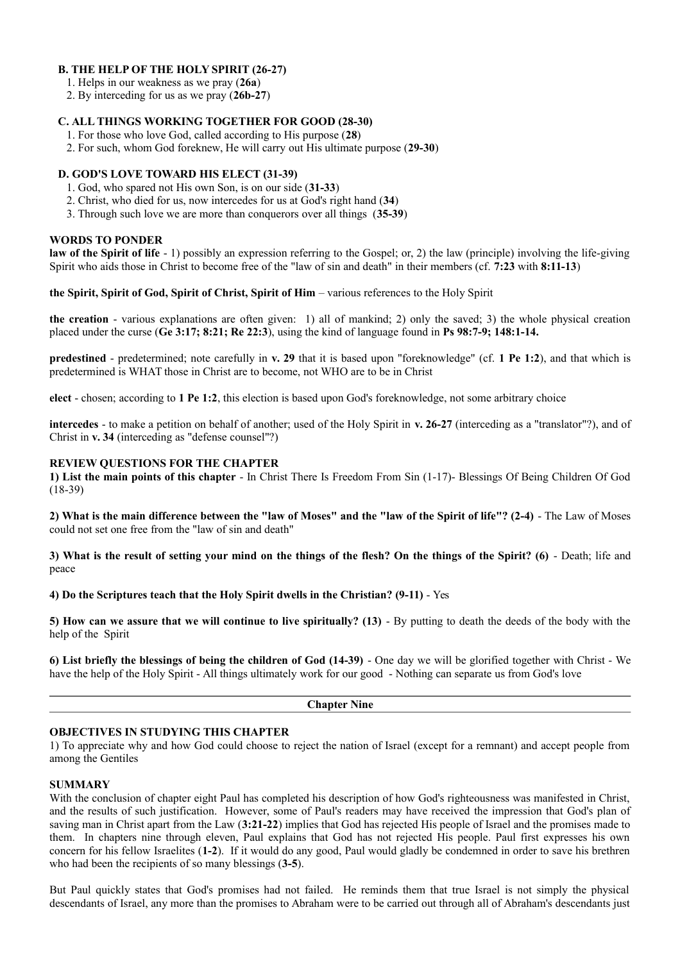### **B. THE HELP OF THE HOLY SPIRIT (26-27)**

- 1. Helps in our weakness as we pray (**26a**)
- 2. By interceding for us as we pray (**26b-27**)

### **C. ALL THINGS WORKING TOGETHER FOR GOOD (28-30)**

- 1. For those who love God, called according to His purpose (**28**)
- 2. For such, whom God foreknew, He will carry out His ultimate purpose (**29-30**)

#### **D. GOD'S LOVE TOWARD HIS ELECT (31-39)**

- 1. God, who spared not His own Son, is on our side (**31-33**)
- 2. Christ, who died for us, now intercedes for us at God's right hand (**34**)
- 3. Through such love we are more than conquerors over all things (**35-39**)

#### **WORDS TO PONDER**

**law of the Spirit of life** - 1) possibly an expression referring to the Gospel; or, 2) the law (principle) involving the life-giving Spirit who aids those in Christ to become free of the "law of sin and death" in their members (cf. **7:23** with **8:11-13**)

**the Spirit, Spirit of God, Spirit of Christ, Spirit of Him** – various references to the Holy Spirit

**the creation** - various explanations are often given: 1) all of mankind; 2) only the saved; 3) the whole physical creation placed under the curse (**Ge 3:17; 8:21; Re 22:3**), using the kind of language found in **Ps 98:7-9; 148:1-14.**

**predestined** - predetermined; note carefully in **v. 29** that it is based upon "foreknowledge" (cf. **1 Pe 1:2**), and that which is predetermined is WHAT those in Christ are to become, not WHO are to be in Christ

**elect** - chosen; according to **1 Pe 1:2**, this election is based upon God's foreknowledge, not some arbitrary choice

**intercedes** - to make a petition on behalf of another; used of the Holy Spirit in **v. 26-27** (interceding as a "translator"?), and of Christ in **v. 34** (interceding as "defense counsel"?)

#### **REVIEW QUESTIONS FOR THE CHAPTER**

**1) List the main points of this chapter** - In Christ There Is Freedom From Sin (1-17)- Blessings Of Being Children Of God (18-39)

**2) What is the main difference between the "law of Moses" and the "law of the Spirit of life"? (2-4)** - The Law of Moses could not set one free from the "law of sin and death"

**3) What is the result of setting your mind on the things of the flesh? On the things of the Spirit? (6)** - Death; life and peace

**4) Do the Scriptures teach that the Holy Spirit dwells in the Christian? (9-11)** - Yes

**5) How can we assure that we will continue to live spiritually? (13)** - By putting to death the deeds of the body with the help of the Spirit

**6) List briefly the blessings of being the children of God (14-39)** - One day we will be glorified together with Christ - We have the help of the Holy Spirit - All things ultimately work for our good - Nothing can separate us from God's love

**Chapter Nine**

#### **OBJECTIVES IN STUDYING THIS CHAPTER**

1) To appreciate why and how God could choose to reject the nation of Israel (except for a remnant) and accept people from among the Gentiles

#### **SUMMARY**

With the conclusion of chapter eight Paul has completed his description of how God's righteousness was manifested in Christ, and the results of such justification. However, some of Paul's readers may have received the impression that God's plan of saving man in Christ apart from the Law (**3:21-22**) implies that God has rejected His people of Israel and the promises made to them. In chapters nine through eleven, Paul explains that God has not rejected His people. Paul first expresses his own concern for his fellow Israelites (**1-2**). If it would do any good, Paul would gladly be condemned in order to save his brethren who had been the recipients of so many blessings (**3-5**).

But Paul quickly states that God's promises had not failed. He reminds them that true Israel is not simply the physical descendants of Israel, any more than the promises to Abraham were to be carried out through all of Abraham's descendants just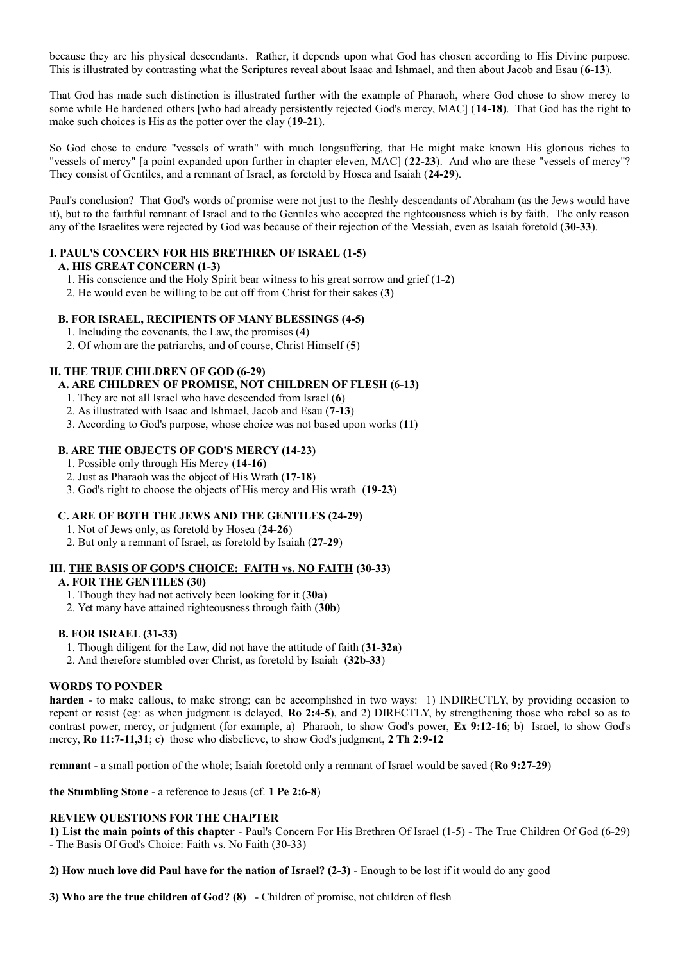because they are his physical descendants. Rather, it depends upon what God has chosen according to His Divine purpose. This is illustrated by contrasting what the Scriptures reveal about Isaac and Ishmael, and then about Jacob and Esau (**6-13**).

That God has made such distinction is illustrated further with the example of Pharaoh, where God chose to show mercy to some while He hardened others [who had already persistently rejected God's mercy, MAC] (**14-18**). That God has the right to make such choices is His as the potter over the clay (**19-21**).

So God chose to endure "vessels of wrath" with much longsuffering, that He might make known His glorious riches to "vessels of mercy" [a point expanded upon further in chapter eleven, MAC] (**22-23**). And who are these "vessels of mercy"? They consist of Gentiles, and a remnant of Israel, as foretold by Hosea and Isaiah (**24-29**).

Paul's conclusion? That God's words of promise were not just to the fleshly descendants of Abraham (as the Jews would have it), but to the faithful remnant of Israel and to the Gentiles who accepted the righteousness which is by faith. The only reason any of the Israelites were rejected by God was because of their rejection of the Messiah, even as Isaiah foretold (**30-33**).

## **I. PAUL'S CONCERN FOR HIS BRETHREN OF ISRAEL (1-5)**

#### **A. HIS GREAT CONCERN (1-3)**

- 1. His conscience and the Holy Spirit bear witness to his great sorrow and grief (**1-2**)
- 2. He would even be willing to be cut off from Christ for their sakes (**3**)

## **B. FOR ISRAEL, RECIPIENTS OF MANY BLESSINGS (4-5)**

- 1. Including the covenants, the Law, the promises (**4**)
- 2. Of whom are the patriarchs, and of course, Christ Himself (**5**)

## **II. THE TRUE CHILDREN OF GOD (6-29)**

## **A. ARE CHILDREN OF PROMISE, NOT CHILDREN OF FLESH (6-13)**

- 1. They are not all Israel who have descended from Israel (**6**)
- 2. As illustrated with Isaac and Ishmael, Jacob and Esau (**7-13**)
- 3. According to God's purpose, whose choice was not based upon works (**11**)

## **B. ARE THE OBJECTS OF GOD'S MERCY (14-23)**

- 1. Possible only through His Mercy (**14-16**)
- 2. Just as Pharaoh was the object of His Wrath (**17-18**)
- 3. God's right to choose the objects of His mercy and His wrath (**19-23**)

## **C. ARE OF BOTH THE JEWS AND THE GENTILES (24-29)**

- 1. Not of Jews only, as foretold by Hosea (**24-26**)
- 2. But only a remnant of Israel, as foretold by Isaiah (**27-29**)

#### **III. THE BASIS OF GOD'S CHOICE: FAITH vs. NO FAITH (30-33)**

#### **A. FOR THE GENTILES (30)**

- 1. Though they had not actively been looking for it (**30a**)
- 2. Yet many have attained righteousness through faith (**30b**)

## **B. FOR ISRAEL (31-33)**

- 1. Though diligent for the Law, did not have the attitude of faith (**31-32a**)
- 2. And therefore stumbled over Christ, as foretold by Isaiah (**32b-33**)

#### **WORDS TO PONDER**

**harden** - to make callous, to make strong; can be accomplished in two ways: 1) INDIRECTLY, by providing occasion to repent or resist (eg: as when judgment is delayed, **Ro 2:4-5**), and 2) DIRECTLY, by strengthening those who rebel so as to contrast power, mercy, or judgment (for example, a) Pharaoh, to show God's power, **Ex 9:12-16**; b) Israel, to show God's mercy, **Ro 11:7-11,31**; c) those who disbelieve, to show God's judgment, **2 Th 2:9-12**

**remnant** - a small portion of the whole; Isaiah foretold only a remnant of Israel would be saved (**Ro 9:27-29**)

**the Stumbling Stone** - a reference to Jesus (cf. **1 Pe 2:6-8**)

#### **REVIEW QUESTIONS FOR THE CHAPTER**

**1) List the main points of this chapter** - Paul's Concern For His Brethren Of Israel (1-5) - The True Children Of God (6-29) - The Basis Of God's Choice: Faith vs. No Faith (30-33)

**2) How much love did Paul have for the nation of Israel? (2-3)** - Enough to be lost if it would do any good

**3) Who are the true children of God? (8)** - Children of promise, not children of flesh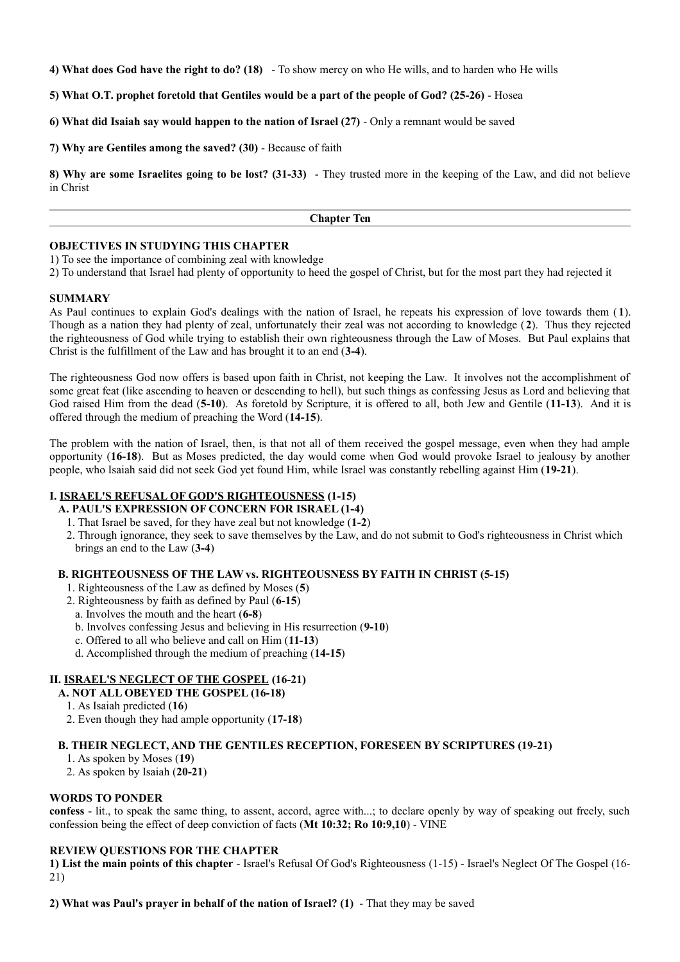**4) What does God have the right to do? (18)** - To show mercy on who He wills, and to harden who He wills

**5) What O.T. prophet foretold that Gentiles would be a part of the people of God? (25-26)** - Hosea

**6) What did Isaiah say would happen to the nation of Israel (27)** - Only a remnant would be saved

**7) Why are Gentiles among the saved? (30)** - Because of faith

**8) Why are some Israelites going to be lost? (31-33)** - They trusted more in the keeping of the Law, and did not believe in Christ

**Chapter Ten**

#### **OBJECTIVES IN STUDYING THIS CHAPTER**

1) To see the importance of combining zeal with knowledge

2) To understand that Israel had plenty of opportunity to heed the gospel of Christ, but for the most part they had rejected it

#### **SUMMARY**

As Paul continues to explain God's dealings with the nation of Israel, he repeats his expression of love towards them ( **1**). Though as a nation they had plenty of zeal, unfortunately their zeal was not according to knowledge (**2**). Thus they rejected the righteousness of God while trying to establish their own righteousness through the Law of Moses. But Paul explains that Christ is the fulfillment of the Law and has brought it to an end (**3-4**).

The righteousness God now offers is based upon faith in Christ, not keeping the Law. It involves not the accomplishment of some great feat (like ascending to heaven or descending to hell), but such things as confessing Jesus as Lord and believing that God raised Him from the dead (**5-10**). As foretold by Scripture, it is offered to all, both Jew and Gentile (**11-13**). And it is offered through the medium of preaching the Word (**14-15**).

The problem with the nation of Israel, then, is that not all of them received the gospel message, even when they had ample opportunity (**16-18**). But as Moses predicted, the day would come when God would provoke Israel to jealousy by another people, who Isaiah said did not seek God yet found Him, while Israel was constantly rebelling against Him (**19-21**).

#### **I. ISRAEL'S REFUSAL OF GOD'S RIGHTEOUSNESS (1-15)**

- **A. PAUL'S EXPRESSION OF CONCERN FOR ISRAEL (1-4)**
	- 1. That Israel be saved, for they have zeal but not knowledge (**1-2**)
- 2. Through ignorance, they seek to save themselves by the Law, and do not submit to God's righteousness in Christ which brings an end to the Law (**3-4**)

#### **B. RIGHTEOUSNESS OF THE LAW vs. RIGHTEOUSNESS BY FAITH IN CHRIST (5-15)**

- 1. Righteousness of the Law as defined by Moses (**5**)
- 2. Righteousness by faith as defined by Paul (**6-15**)
- a. Involves the mouth and the heart (**6-8**)
- b. Involves confessing Jesus and believing in His resurrection (**9-10**)
- c. Offered to all who believe and call on Him (**11-13**)
- d. Accomplished through the medium of preaching (**14-15**)

## **II. ISRAEL'S NEGLECT OF THE GOSPEL (16-21)**

**A. NOT ALL OBEYED THE GOSPEL (16-18)**

- 1. As Isaiah predicted (**16**)
- 2. Even though they had ample opportunity (**17-18**)

#### **B. THEIR NEGLECT, AND THE GENTILES RECEPTION, FORESEEN BY SCRIPTURES (19-21)**

- 1. As spoken by Moses (**19**)
- 2. As spoken by Isaiah (**20-21**)

#### **WORDS TO PONDER**

**confess** - lit., to speak the same thing, to assent, accord, agree with...; to declare openly by way of speaking out freely, such confession being the effect of deep conviction of facts (**Mt 10:32; Ro 10:9,10**) - VINE

### **REVIEW QUESTIONS FOR THE CHAPTER**

**1) List the main points of this chapter** - Israel's Refusal Of God's Righteousness (1-15) - Israel's Neglect Of The Gospel (16- 21)

**2) What was Paul's prayer in behalf of the nation of Israel? (1)** - That they may be saved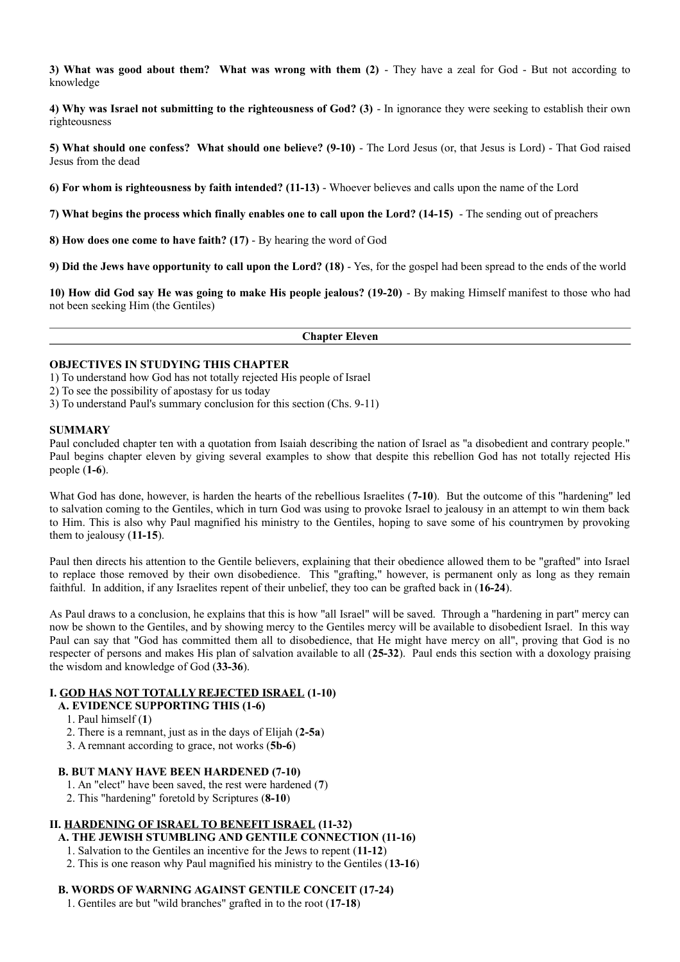**3) What was good about them?** What was wrong with them (2) - They have a zeal for God - But not according to knowledge

**4) Why was Israel not submitting to the righteousness of God? (3)** - In ignorance they were seeking to establish their own righteousness

**5) What should one confess? What should one believe? (9-10)** - The Lord Jesus (or, that Jesus is Lord) - That God raised Jesus from the dead

**6) For whom is righteousness by faith intended? (11-13)** - Whoever believes and calls upon the name of the Lord

**7) What begins the process which finally enables one to call upon the Lord? (14-15)** - The sending out of preachers

**8) How does one come to have faith? (17)** - By hearing the word of God

**9) Did the Jews have opportunity to call upon the Lord? (18)** - Yes, for the gospel had been spread to the ends of the world

**10) How did God say He was going to make His people jealous? (19-20)** - By making Himself manifest to those who had not been seeking Him (the Gentiles)

**Chapter Eleven**

#### **OBJECTIVES IN STUDYING THIS CHAPTER**

1) To understand how God has not totally rejected His people of Israel

2) To see the possibility of apostasy for us today

3) To understand Paul's summary conclusion for this section (Chs. 9-11)

#### **SUMMARY**

Paul concluded chapter ten with a quotation from Isaiah describing the nation of Israel as "a disobedient and contrary people." Paul begins chapter eleven by giving several examples to show that despite this rebellion God has not totally rejected His people (**1-6**).

What God has done, however, is harden the hearts of the rebellious Israelites (**7-10**). But the outcome of this "hardening" led to salvation coming to the Gentiles, which in turn God was using to provoke Israel to jealousy in an attempt to win them back to Him. This is also why Paul magnified his ministry to the Gentiles, hoping to save some of his countrymen by provoking them to jealousy (**11-15**).

Paul then directs his attention to the Gentile believers, explaining that their obedience allowed them to be "grafted" into Israel to replace those removed by their own disobedience. This "grafting," however, is permanent only as long as they remain faithful. In addition, if any Israelites repent of their unbelief, they too can be grafted back in (**16-24**).

As Paul draws to a conclusion, he explains that this is how "all Israel" will be saved. Through a "hardening in part" mercy can now be shown to the Gentiles, and by showing mercy to the Gentiles mercy will be available to disobedient Israel. In this way Paul can say that "God has committed them all to disobedience, that He might have mercy on all", proving that God is no respecter of persons and makes His plan of salvation available to all (**25-32**). Paul ends this section with a doxology praising the wisdom and knowledge of God (**33-36**).

### **I. GOD HAS NOT TOTALLY REJECTED ISRAEL (1-10)**

- **A. EVIDENCE SUPPORTING THIS (1-6)**
	- 1. Paul himself (**1**)
	- 2. There is a remnant, just as in the days of Elijah (**2-5a**)
	- 3. A remnant according to grace, not works (**5b-6**)

#### **B. BUT MANY HAVE BEEN HARDENED (7-10)**

- 1. An "elect" have been saved, the rest were hardened (**7**)
- 2. This "hardening" foretold by Scriptures (**8-10**)

## **II. HARDENING OF ISRAEL TO BENEFIT ISRAEL (11-32)**

#### **A. THE JEWISH STUMBLING AND GENTILE CONNECTION (11-16)**

- 1. Salvation to the Gentiles an incentive for the Jews to repent (**11-12**)
- 2. This is one reason why Paul magnified his ministry to the Gentiles (**13-16**)

#### **B. WORDS OF WARNING AGAINST GENTILE CONCEIT (17-24)**

1. Gentiles are but "wild branches" grafted in to the root (**17-18**)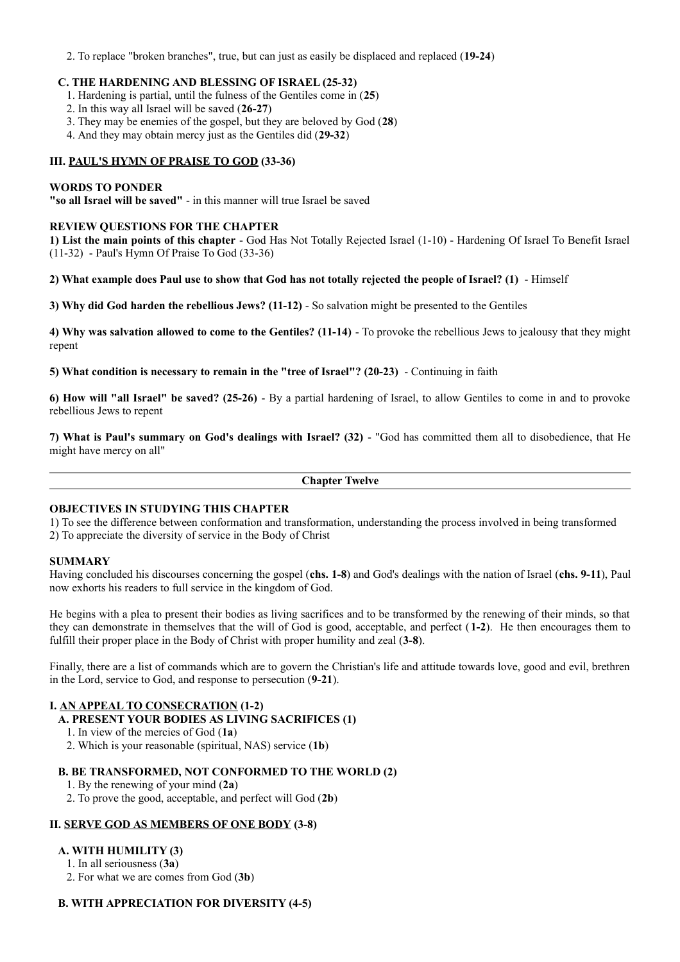2. To replace "broken branches", true, but can just as easily be displaced and replaced (**19-24**)

### **C. THE HARDENING AND BLESSING OF ISRAEL (25-32)**

- 1. Hardening is partial, until the fulness of the Gentiles come in (**25**)
- 2. In this way all Israel will be saved (**26-27**)
- 3. They may be enemies of the gospel, but they are beloved by God (**28**)
- 4. And they may obtain mercy just as the Gentiles did (**29-32**)

### **III. PAUL'S HYMN OF PRAISE TO GOD (33-36)**

### **WORDS TO PONDER**

**"so all Israel will be saved"** - in this manner will true Israel be saved

#### **REVIEW QUESTIONS FOR THE CHAPTER**

**1) List the main points of this chapter** - God Has Not Totally Rejected Israel (1-10) - Hardening Of Israel To Benefit Israel (11-32) - Paul's Hymn Of Praise To God (33-36)

#### **2) What example does Paul use to show that God has not totally rejected the people of Israel? (1)** - Himself

**3) Why did God harden the rebellious Jews? (11-12)** - So salvation might be presented to the Gentiles

**4) Why was salvation allowed to come to the Gentiles? (11-14)** - To provoke the rebellious Jews to jealousy that they might repent

**5) What condition is necessary to remain in the "tree of Israel"? (20-23)** - Continuing in faith

**6) How will "all Israel" be saved? (25-26)** - By a partial hardening of Israel, to allow Gentiles to come in and to provoke rebellious Jews to repent

**7) What is Paul's summary on God's dealings with Israel? (32)** - "God has committed them all to disobedience, that He might have mercy on all"

**Chapter Twelve**

### **OBJECTIVES IN STUDYING THIS CHAPTER**

1) To see the difference between conformation and transformation, understanding the process involved in being transformed

2) To appreciate the diversity of service in the Body of Christ

#### **SUMMARY**

Having concluded his discourses concerning the gospel (**chs. 1-8**) and God's dealings with the nation of Israel (**chs. 9-11**), Paul now exhorts his readers to full service in the kingdom of God.

He begins with a plea to present their bodies as living sacrifices and to be transformed by the renewing of their minds, so that they can demonstrate in themselves that the will of God is good, acceptable, and perfect (**1-2**). He then encourages them to fulfill their proper place in the Body of Christ with proper humility and zeal (**3-8**).

Finally, there are a list of commands which are to govern the Christian's life and attitude towards love, good and evil, brethren in the Lord, service to God, and response to persecution (**9-21**).

## **I. AN APPEAL TO CONSECRATION (1-2)**

- **A. PRESENT YOUR BODIES AS LIVING SACRIFICES (1)**
	- 1. In view of the mercies of God (**1a**)
	- 2. Which is your reasonable (spiritual, NAS) service (**1b**)

### **B. BE TRANSFORMED, NOT CONFORMED TO THE WORLD (2)**

- 1. By the renewing of your mind (**2a**)
- 2. To prove the good, acceptable, and perfect will God (**2b**)

#### **II. SERVE GOD AS MEMBERS OF ONE BODY (3-8)**

## **A. WITH HUMILITY (3)**

- 1. In all seriousness (**3a**)
- 2. For what we are comes from God (**3b**)

#### **B. WITH APPRECIATION FOR DIVERSITY (4-5)**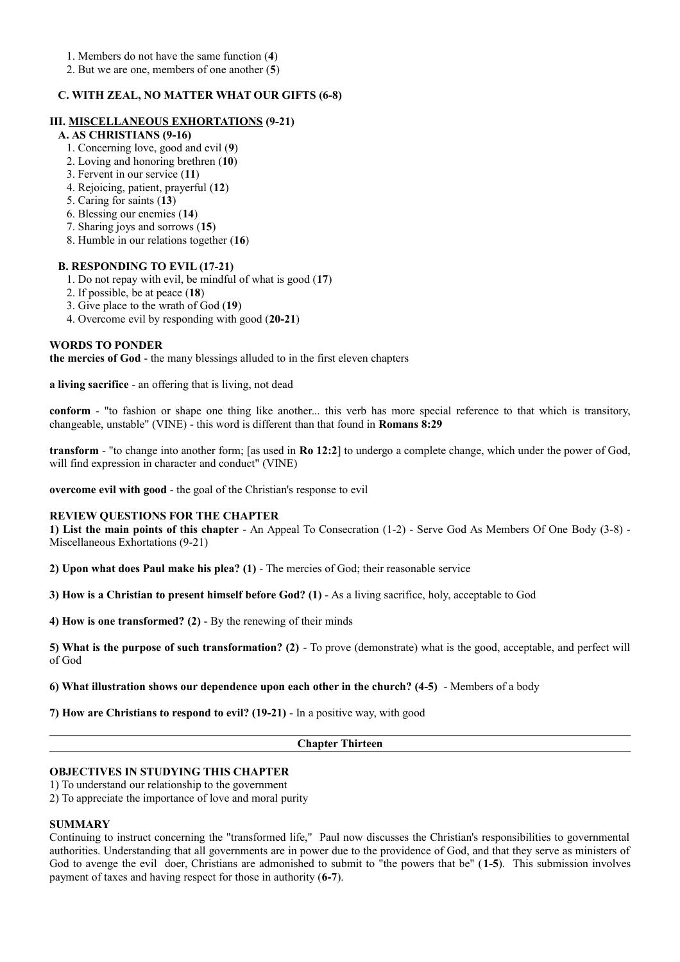1. Members do not have the same function (**4**)

2. But we are one, members of one another (**5**)

### **C. WITH ZEAL, NO MATTER WHAT OUR GIFTS (6-8)**

#### **III. MISCELLANEOUS EXHORTATIONS (9-21)**

## **A. AS CHRISTIANS (9-16)**

- 1. Concerning love, good and evil (**9**)
- 2. Loving and honoring brethren (**10**)
- 3. Fervent in our service (**11**)
- 4. Rejoicing, patient, prayerful (**12**)
- 5. Caring for saints (**13**)
- 6. Blessing our enemies (**14**)
- 7. Sharing joys and sorrows (**15**)
- 8. Humble in our relations together (**16**)

#### **B. RESPONDING TO EVIL (17-21)**

- 1. Do not repay with evil, be mindful of what is good (**17**)
- 2. If possible, be at peace (**18**)
- 3. Give place to the wrath of God (**19**)
- 4. Overcome evil by responding with good (**20-21**)

### **WORDS TO PONDER**

**the mercies of God** - the many blessings alluded to in the first eleven chapters

**a living sacrifice** - an offering that is living, not dead

**conform** - "to fashion or shape one thing like another... this verb has more special reference to that which is transitory, changeable, unstable" (VINE) - this word is different than that found in **Romans 8:29**

**transform** - "to change into another form; [as used in **Ro 12:2**] to undergo a complete change, which under the power of God, will find expression in character and conduct" (VINE)

**overcome evil with good** - the goal of the Christian's response to evil

#### **REVIEW QUESTIONS FOR THE CHAPTER**

**1) List the main points of this chapter** - An Appeal To Consecration (1-2) - Serve God As Members Of One Body (3-8) - Miscellaneous Exhortations (9-21)

**2) Upon what does Paul make his plea? (1)** - The mercies of God; their reasonable service

**3) How is a Christian to present himself before God?** (1) - As a living sacrifice, holy, acceptable to God

**4) How is one transformed? (2)** - By the renewing of their minds

**5) What is the purpose of such transformation? (2)** - To prove (demonstrate) what is the good, acceptable, and perfect will of God

**6) What illustration shows our dependence upon each other in the church? (4-5)** - Members of a body

**7) How are Christians to respond to evil? (19-21)** - In a positive way, with good

**Chapter Thirteen**

#### **OBJECTIVES IN STUDYING THIS CHAPTER**

1) To understand our relationship to the government

2) To appreciate the importance of love and moral purity

#### **SUMMARY**

Continuing to instruct concerning the "transformed life," Paul now discusses the Christian's responsibilities to governmental authorities. Understanding that all governments are in power due to the providence of God, and that they serve as ministers of God to avenge the evil doer, Christians are admonished to submit to "the powers that be" (**1-5**). This submission involves payment of taxes and having respect for those in authority (**6-7**).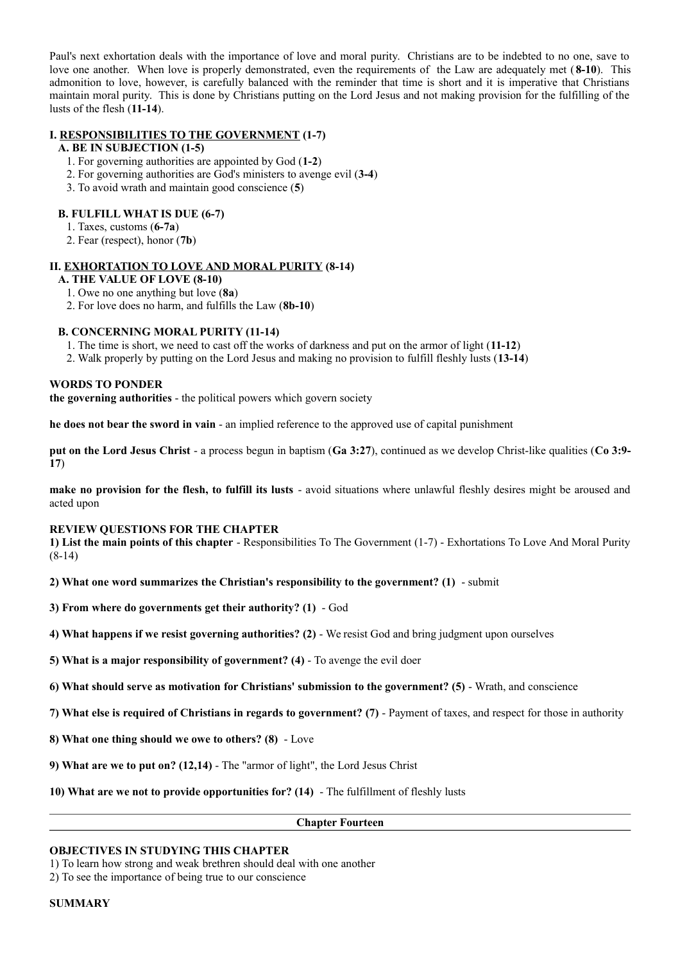Paul's next exhortation deals with the importance of love and moral purity. Christians are to be indebted to no one, save to love one another. When love is properly demonstrated, even the requirements of the Law are adequately met ( **8-10**). This admonition to love, however, is carefully balanced with the reminder that time is short and it is imperative that Christians maintain moral purity. This is done by Christians putting on the Lord Jesus and not making provision for the fulfilling of the lusts of the flesh (**11-14**).

### **I. RESPONSIBILITIES TO THE GOVERNMENT (1-7)**

### **A. BE IN SUBJECTION (1-5)**

- 1. For governing authorities are appointed by God (**1-2**)
- 2. For governing authorities are God's ministers to avenge evil (**3-4**)
- 3. To avoid wrath and maintain good conscience (**5**)

#### **B. FULFILL WHAT IS DUE (6-7)**

- 1. Taxes, customs (**6-7a**)
- 2. Fear (respect), honor (**7b**)

#### **II. EXHORTATION TO LOVE AND MORAL PURITY (8-14)**

**A. THE VALUE OF LOVE (8-10)**

- 1. Owe no one anything but love (**8a**)
- 2. For love does no harm, and fulfills the Law (**8b-10**)

#### **B. CONCERNING MORAL PURITY (11-14)**

- 1. The time is short, we need to cast off the works of darkness and put on the armor of light (**11-12**)
- 2. Walk properly by putting on the Lord Jesus and making no provision to fulfill fleshly lusts (**13-14**)

#### **WORDS TO PONDER**

**the governing authorities** - the political powers which govern society

**he does not bear the sword in vain** - an implied reference to the approved use of capital punishment

**put on the Lord Jesus Christ** - a process begun in baptism (**Ga 3:27**), continued as we develop Christ-like qualities (**Co 3:9- 17**)

**make no provision for the flesh, to fulfill its lusts** - avoid situations where unlawful fleshly desires might be aroused and acted upon

#### **REVIEW QUESTIONS FOR THE CHAPTER**

**1) List the main points of this chapter** - Responsibilities To The Government (1-7) - Exhortations To Love And Moral Purity (8-14)

**2) What one word summarizes the Christian's responsibility to the government? (1)** - submit

- **3) From where do governments get their authority? (1)**  God
- **4) What happens if we resist governing authorities? (2)**  We resist God and bring judgment upon ourselves
- **5) What is a major responsibility of government? (4)**  To avenge the evil doer
- **6) What should serve as motivation for Christians' submission to the government? (5)**  Wrath, and conscience
- **7) What else is required of Christians in regards to government? (7)**  Payment of taxes, and respect for those in authority
- **8) What one thing should we owe to others? (8)**  Love
- **9) What are we to put on? (12,14)**  The "armor of light", the Lord Jesus Christ
- **10) What are we not to provide opportunities for? (14)**  The fulfillment of fleshly lusts

**Chapter Fourteen**

#### **OBJECTIVES IN STUDYING THIS CHAPTER**

1) To learn how strong and weak brethren should deal with one another

2) To see the importance of being true to our conscience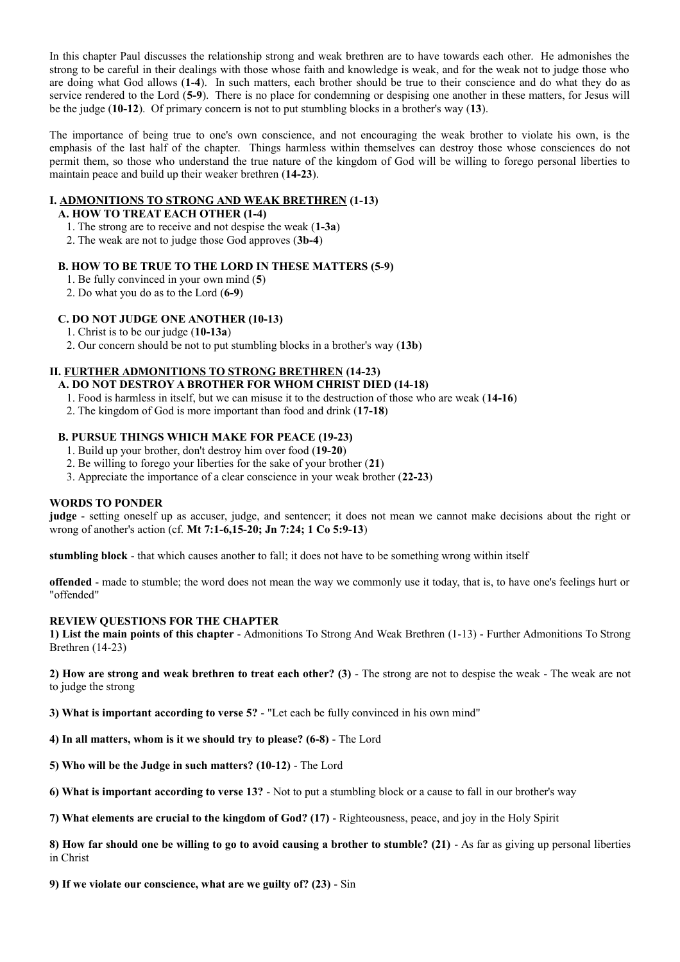In this chapter Paul discusses the relationship strong and weak brethren are to have towards each other. He admonishes the strong to be careful in their dealings with those whose faith and knowledge is weak, and for the weak not to judge those who are doing what God allows (**1-4**). In such matters, each brother should be true to their conscience and do what they do as service rendered to the Lord (**5-9**). There is no place for condemning or despising one another in these matters, for Jesus will be the judge (**10-12**). Of primary concern is not to put stumbling blocks in a brother's way (**13**).

The importance of being true to one's own conscience, and not encouraging the weak brother to violate his own, is the emphasis of the last half of the chapter. Things harmless within themselves can destroy those whose consciences do not permit them, so those who understand the true nature of the kingdom of God will be willing to forego personal liberties to maintain peace and build up their weaker brethren (**14-23**).

## **I. ADMONITIONS TO STRONG AND WEAK BRETHREN (1-13)**

## **A. HOW TO TREAT EACH OTHER (1-4)**

- 1. The strong are to receive and not despise the weak (**1-3a**)
- 2. The weak are not to judge those God approves (**3b-4**)

## **B. HOW TO BE TRUE TO THE LORD IN THESE MATTERS (5-9)**

- 1. Be fully convinced in your own mind (**5**)
- 2. Do what you do as to the Lord (**6-9**)

## **C. DO NOT JUDGE ONE ANOTHER (10-13)**

- 1. Christ is to be our judge (**10-13a**)
- 2. Our concern should be not to put stumbling blocks in a brother's way (**13b**)

# **II. FURTHER ADMONITIONS TO STRONG BRETHREN (14-23)**

- **A. DO NOT DESTROY A BROTHER FOR WHOM CHRIST DIED (14-18)**
	- 1. Food is harmless in itself, but we can misuse it to the destruction of those who are weak (**14-16**)
	- 2. The kingdom of God is more important than food and drink (**17-18**)

## **B. PURSUE THINGS WHICH MAKE FOR PEACE (19-23)**

- 1. Build up your brother, don't destroy him over food (**19-20**)
- 2. Be willing to forego your liberties for the sake of your brother (**21**)
- 3. Appreciate the importance of a clear conscience in your weak brother (**22-23**)

## **WORDS TO PONDER**

**judge** - setting oneself up as accuser, judge, and sentencer; it does not mean we cannot make decisions about the right or wrong of another's action (cf. **Mt 7:1-6,15-20; Jn 7:24; 1 Co 5:9-13**)

**stumbling block** - that which causes another to fall; it does not have to be something wrong within itself

**offended** - made to stumble; the word does not mean the way we commonly use it today, that is, to have one's feelings hurt or "offended"

## **REVIEW QUESTIONS FOR THE CHAPTER**

**1) List the main points of this chapter** - Admonitions To Strong And Weak Brethren (1-13) - Further Admonitions To Strong Brethren (14-23)

**2) How are strong and weak brethren to treat each other? (3)** - The strong are not to despise the weak - The weak are not to judge the strong

**3) What is important according to verse 5?** - "Let each be fully convinced in his own mind"

**4) In all matters, whom is it we should try to please? (6-8)** - The Lord

**5) Who will be the Judge in such matters? (10-12)** - The Lord

**6) What is important according to verse 13?** - Not to put a stumbling block or a cause to fall in our brother's way

**7) What elements are crucial to the kingdom of God? (17)** - Righteousness, peace, and joy in the Holy Spirit

**8) How far should one be willing to go to avoid causing a brother to stumble? (21)** - As far as giving up personal liberties in Christ

**9) If we violate our conscience, what are we guilty of? (23)** - Sin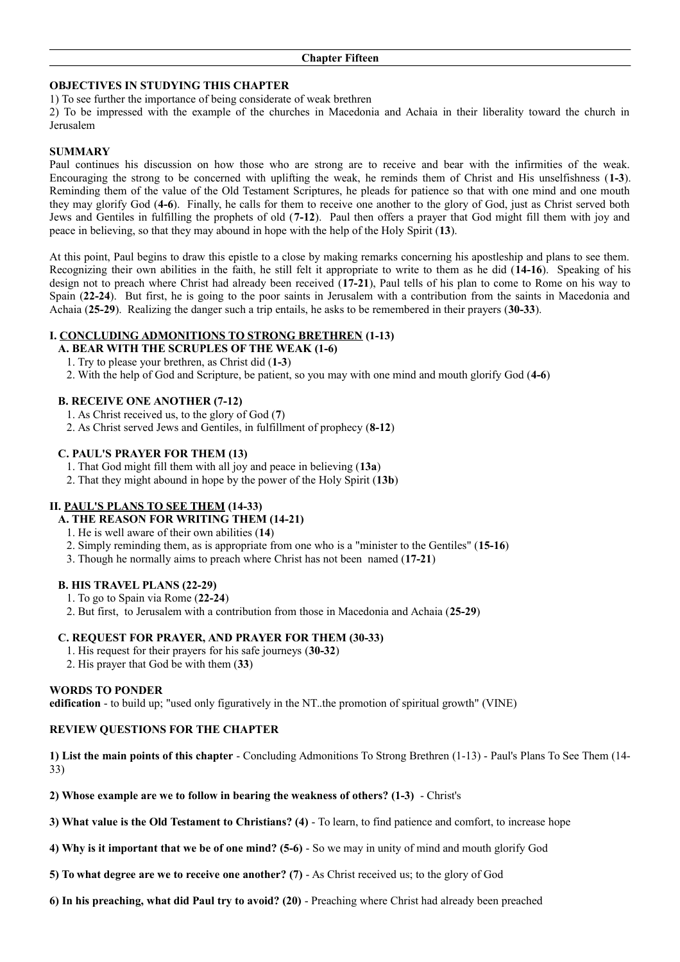## **OBJECTIVES IN STUDYING THIS CHAPTER**

## 1) To see further the importance of being considerate of weak brethren

2) To be impressed with the example of the churches in Macedonia and Achaia in their liberality toward the church in Jerusalem

### **SUMMARY**

Paul continues his discussion on how those who are strong are to receive and bear with the infirmities of the weak. Encouraging the strong to be concerned with uplifting the weak, he reminds them of Christ and His unselfishness (**1-3**). Reminding them of the value of the Old Testament Scriptures, he pleads for patience so that with one mind and one mouth they may glorify God (**4-6**). Finally, he calls for them to receive one another to the glory of God, just as Christ served both Jews and Gentiles in fulfilling the prophets of old (**7-12**). Paul then offers a prayer that God might fill them with joy and peace in believing, so that they may abound in hope with the help of the Holy Spirit (**13**).

At this point, Paul begins to draw this epistle to a close by making remarks concerning his apostleship and plans to see them. Recognizing their own abilities in the faith, he still felt it appropriate to write to them as he did (**14-16**). Speaking of his design not to preach where Christ had already been received (**17-21**), Paul tells of his plan to come to Rome on his way to Spain (**22-24**). But first, he is going to the poor saints in Jerusalem with a contribution from the saints in Macedonia and Achaia (**25-29**). Realizing the danger such a trip entails, he asks to be remembered in their prayers (**30-33**).

## **I. CONCLUDING ADMONITIONS TO STRONG BRETHREN (1-13)**

- **A. BEAR WITH THE SCRUPLES OF THE WEAK (1-6)**
	- 1. Try to please your brethren, as Christ did (**1-3**)
- 2. With the help of God and Scripture, be patient, so you may with one mind and mouth glorify God (**4-6**)

## **B. RECEIVE ONE ANOTHER (7-12)**

- 1. As Christ received us, to the glory of God (**7**)
- 2. As Christ served Jews and Gentiles, in fulfillment of prophecy (**8-12**)

## **C. PAUL'S PRAYER FOR THEM (13)**

- 1. That God might fill them with all joy and peace in believing (**13a**)
- 2. That they might abound in hope by the power of the Holy Spirit (**13b**)

## **II. PAUL'S PLANS TO SEE THEM (14-33)**

- **A. THE REASON FOR WRITING THEM (14-21)**
- 1. He is well aware of their own abilities (**14**)
- 2. Simply reminding them, as is appropriate from one who is a "minister to the Gentiles" (**15-16**)
- 3. Though he normally aims to preach where Christ has not been named (**17-21**)

#### **B. HIS TRAVEL PLANS (22-29)**

- 1. To go to Spain via Rome (**22-24**)
- 2. But first, to Jerusalem with a contribution from those in Macedonia and Achaia (**25-29**)

#### **C. REQUEST FOR PRAYER, AND PRAYER FOR THEM (30-33)**

- 1. His request for their prayers for his safe journeys (**30-32**)
- 2. His prayer that God be with them (**33**)

#### **WORDS TO PONDER**

**edification** - to build up; "used only figuratively in the NT..the promotion of spiritual growth" (VINE)

#### **REVIEW QUESTIONS FOR THE CHAPTER**

**1) List the main points of this chapter** - Concluding Admonitions To Strong Brethren (1-13) - Paul's Plans To See Them (14- 33)

**2) Whose example are we to follow in bearing the weakness of others? (1-3)** - Christ's

**3) What value is the Old Testament to Christians? (4)** - To learn, to find patience and comfort, to increase hope

**4) Why is it important that we be of one mind? (5-6)** - So we may in unity of mind and mouth glorify God

**5) To what degree are we to receive one another? (7)** - As Christ received us; to the glory of God

**6) In his preaching, what did Paul try to avoid? (20)** - Preaching where Christ had already been preached